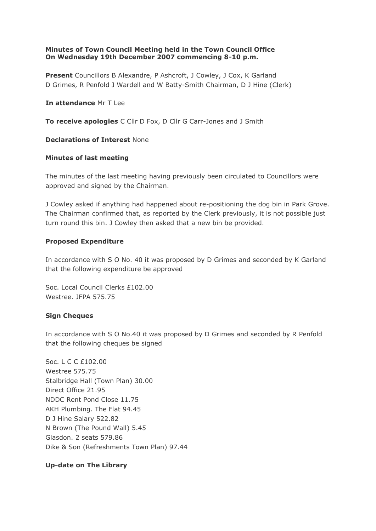## **Minutes of Town Council Meeting held in the Town Council Office On Wednesday 19th December 2007 commencing 8-10 p.m.**

**Present** Councillors B Alexandre, P Ashcroft, J Cowley, J Cox, K Garland D Grimes, R Penfold J Wardell and W Batty-Smith Chairman, D J Hine (Clerk)

### **In attendance** Mr T Lee

**To receive apologies** C Cllr D Fox, D Cllr G Carr-Jones and J Smith

### **Declarations of Interest** None

### **Minutes of last meeting**

The minutes of the last meeting having previously been circulated to Councillors were approved and signed by the Chairman.

J Cowley asked if anything had happened about re-positioning the dog bin in Park Grove. The Chairman confirmed that, as reported by the Clerk previously, it is not possible just turn round this bin. J Cowley then asked that a new bin be provided.

### **Proposed Expenditure**

In accordance with S O No. 40 it was proposed by D Grimes and seconded by K Garland that the following expenditure be approved

Soc. Local Council Clerks £102.00 Westree. JFPA 575.75

## **Sign Cheques**

In accordance with S O No.40 it was proposed by D Grimes and seconded by R Penfold that the following cheques be signed

Soc. L C C £102.00 Westree 575.75 Stalbridge Hall (Town Plan) 30.00 Direct Office 21.95 NDDC Rent Pond Close 11.75 AKH Plumbing. The Flat 94.45 D J Hine Salary 522.82 N Brown (The Pound Wall) 5.45 Glasdon. 2 seats 579.86 Dike & Son (Refreshments Town Plan) 97.44

## **Up-date on The Library**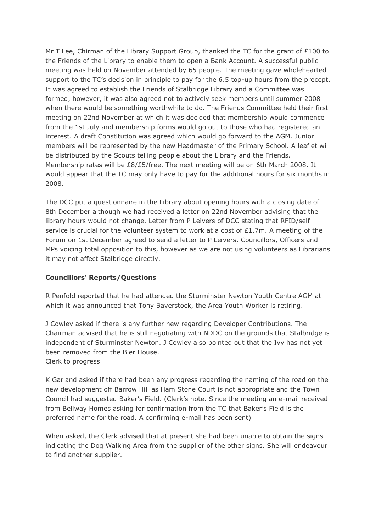Mr T Lee, Chirman of the Library Support Group, thanked the TC for the grant of £100 to the Friends of the Library to enable them to open a Bank Account. A successful public meeting was held on November attended by 65 people. The meeting gave wholehearted support to the TC's decision in principle to pay for the 6.5 top-up hours from the precept. It was agreed to establish the Friends of Stalbridge Library and a Committee was formed, however, it was also agreed not to actively seek members until summer 2008 when there would be something worthwhile to do. The Friends Committee held their first meeting on 22nd November at which it was decided that membership would commence from the 1st July and membership forms would go out to those who had registered an interest. A draft Constitution was agreed which would go forward to the AGM. Junior members will be represented by the new Headmaster of the Primary School. A leaflet will be distributed by the Scouts telling people about the Library and the Friends. Membership rates will be £8/£5/free. The next meeting will be on 6th March 2008. It would appear that the TC may only have to pay for the additional hours for six months in 2008.

The DCC put a questionnaire in the Library about opening hours with a closing date of 8th December although we had received a letter on 22nd November advising that the library hours would not change. Letter from P Leivers of DCC stating that RFID/self service is crucial for the volunteer system to work at a cost of  $£1.7m$ . A meeting of the Forum on 1st December agreed to send a letter to P Leivers, Councillors, Officers and MPs voicing total opposition to this, however as we are not using volunteers as Librarians it may not affect Stalbridge directly.

# **Councillors' Reports/Questions**

R Penfold reported that he had attended the Sturminster Newton Youth Centre AGM at which it was announced that Tony Baverstock, the Area Youth Worker is retiring.

J Cowley asked if there is any further new regarding Developer Contributions. The Chairman advised that he is still negotiating with NDDC on the grounds that Stalbridge is independent of Sturminster Newton. J Cowley also pointed out that the Ivy has not yet been removed from the Bier House. Clerk to progress

K Garland asked if there had been any progress regarding the naming of the road on the new development off Barrow Hill as Ham Stone Court is not appropriate and the Town Council had suggested Baker's Field. (Clerk's note. Since the meeting an e-mail received from Bellway Homes asking for confirmation from the TC that Baker's Field is the preferred name for the road. A confirming e-mail has been sent)

When asked, the Clerk advised that at present she had been unable to obtain the signs indicating the Dog Walking Area from the supplier of the other signs. She will endeavour to find another supplier.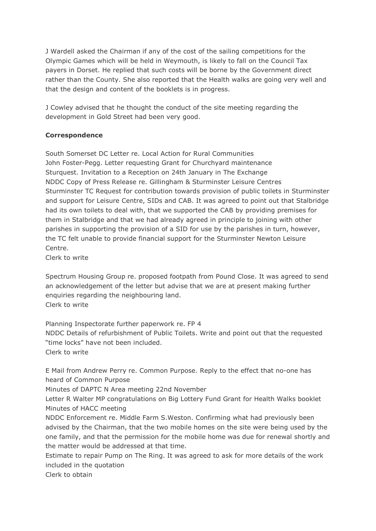J Wardell asked the Chairman if any of the cost of the sailing competitions for the Olympic Games which will be held in Weymouth, is likely to fall on the Council Tax payers in Dorset. He replied that such costs will be borne by the Government direct rather than the County. She also reported that the Health walks are going very well and that the design and content of the booklets is in progress.

J Cowley advised that he thought the conduct of the site meeting regarding the development in Gold Street had been very good.

# **Correspondence**

South Somerset DC Letter re. Local Action for Rural Communities John Foster-Pegg. Letter requesting Grant for Churchyard maintenance Sturquest. Invitation to a Reception on 24th January in The Exchange NDDC Copy of Press Release re. Gillingham & Sturminster Leisure Centres Sturminster TC Request for contribution towards provision of public toilets in Sturminster and support for Leisure Centre, SIDs and CAB. It was agreed to point out that Stalbridge had its own toilets to deal with, that we supported the CAB by providing premises for them in Stalbridge and that we had already agreed in principle to joining with other parishes in supporting the provision of a SID for use by the parishes in turn, however, the TC felt unable to provide financial support for the Sturminster Newton Leisure Centre.

Clerk to write

Spectrum Housing Group re. proposed footpath from Pound Close. It was agreed to send an acknowledgement of the letter but advise that we are at present making further enquiries regarding the neighbouring land. Clerk to write

Planning Inspectorate further paperwork re. FP 4 NDDC Details of refurbishment of Public Toilets. Write and point out that the requested "time locks" have not been included. Clerk to write

E Mail from Andrew Perry re. Common Purpose. Reply to the effect that no-one has heard of Common Purpose

Minutes of DAPTC N Area meeting 22nd November

Letter R Walter MP congratulations on Big Lottery Fund Grant for Health Walks booklet Minutes of HACC meeting

NDDC Enforcement re. Middle Farm S.Weston. Confirming what had previously been advised by the Chairman, that the two mobile homes on the site were being used by the one family, and that the permission for the mobile home was due for renewal shortly and the matter would be addressed at that time.

Estimate to repair Pump on The Ring. It was agreed to ask for more details of the work included in the quotation

Clerk to obtain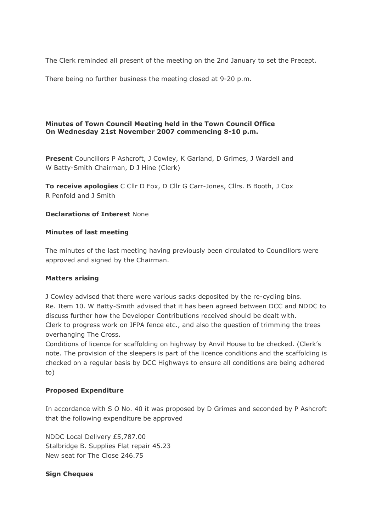The Clerk reminded all present of the meeting on the 2nd January to set the Precept.

There being no further business the meeting closed at 9-20 p.m.

## **Minutes of Town Council Meeting held in the Town Council Office On Wednesday 21st November 2007 commencing 8-10 p.m.**

**Present** Councillors P Ashcroft, J Cowley, K Garland, D Grimes, J Wardell and W Batty-Smith Chairman, D J Hine (Clerk)

**To receive apologies** C Cllr D Fox, D Cllr G Carr-Jones, Cllrs. B Booth, J Cox R Penfold and J Smith

### **Declarations of Interest** None

### **Minutes of last meeting**

The minutes of the last meeting having previously been circulated to Councillors were approved and signed by the Chairman.

### **Matters arising**

J Cowley advised that there were various sacks deposited by the re-cycling bins. Re. Item 10. W Batty-Smith advised that it has been agreed between DCC and NDDC to discuss further how the Developer Contributions received should be dealt with. Clerk to progress work on JFPA fence etc., and also the question of trimming the trees overhanging The Cross.

Conditions of licence for scaffolding on highway by Anvil House to be checked. (Clerk's note. The provision of the sleepers is part of the licence conditions and the scaffolding is checked on a regular basis by DCC Highways to ensure all conditions are being adhered to)

### **Proposed Expenditure**

In accordance with S O No. 40 it was proposed by D Grimes and seconded by P Ashcroft that the following expenditure be approved

NDDC Local Delivery £5,787.00 Stalbridge B. Supplies Flat repair 45.23 New seat for The Close 246.75

### **Sign Cheques**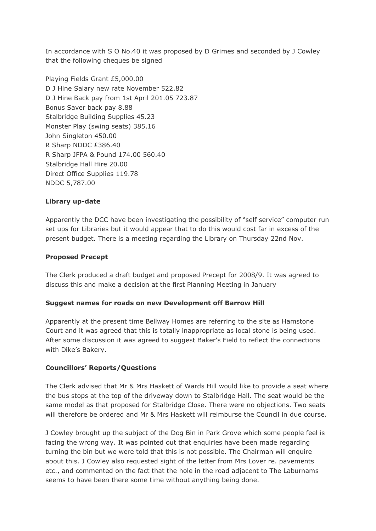In accordance with S O No.40 it was proposed by D Grimes and seconded by J Cowley that the following cheques be signed

Playing Fields Grant £5,000.00 D J Hine Salary new rate November 522.82 D J Hine Back pay from 1st April 201.05 723.87 Bonus Saver back pay 8.88 Stalbridge Building Supplies 45.23 Monster Play (swing seats) 385.16 John Singleton 450.00 R Sharp NDDC £386.40 R Sharp JFPA & Pound 174.00 560.40 Stalbridge Hall Hire 20.00 Direct Office Supplies 119.78 NDDC 5,787.00

## **Library up-date**

Apparently the DCC have been investigating the possibility of "self service" computer run set ups for Libraries but it would appear that to do this would cost far in excess of the present budget. There is a meeting regarding the Library on Thursday 22nd Nov.

### **Proposed Precept**

The Clerk produced a draft budget and proposed Precept for 2008/9. It was agreed to discuss this and make a decision at the first Planning Meeting in January

### **Suggest names for roads on new Development off Barrow Hill**

Apparently at the present time Bellway Homes are referring to the site as Hamstone Court and it was agreed that this is totally inappropriate as local stone is being used. After some discussion it was agreed to suggest Baker's Field to reflect the connections with Dike's Bakery.

### **Councillors' Reports/Questions**

The Clerk advised that Mr & Mrs Haskett of Wards Hill would like to provide a seat where the bus stops at the top of the driveway down to Stalbridge Hall. The seat would be the same model as that proposed for Stalbridge Close. There were no objections. Two seats will therefore be ordered and Mr & Mrs Haskett will reimburse the Council in due course.

J Cowley brought up the subject of the Dog Bin in Park Grove which some people feel is facing the wrong way. It was pointed out that enquiries have been made regarding turning the bin but we were told that this is not possible. The Chairman will enquire about this. J Cowley also requested sight of the letter from Mrs Lover re. pavements etc., and commented on the fact that the hole in the road adjacent to The Laburnams seems to have been there some time without anything being done.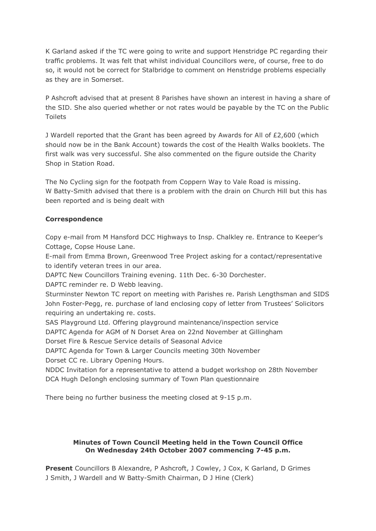K Garland asked if the TC were going to write and support Henstridge PC regarding their traffic problems. It was felt that whilst individual Councillors were, of course, free to do so, it would not be correct for Stalbridge to comment on Henstridge problems especially as they are in Somerset.

P Ashcroft advised that at present 8 Parishes have shown an interest in having a share of the SID. She also queried whether or not rates would be payable by the TC on the Public Toilets

J Wardell reported that the Grant has been agreed by Awards for All of £2,600 (which should now be in the Bank Account) towards the cost of the Health Walks booklets. The first walk was very successful. She also commented on the figure outside the Charity Shop in Station Road.

The No Cycling sign for the footpath from Coppern Way to Vale Road is missing. W Batty-Smith advised that there is a problem with the drain on Church Hill but this has been reported and is being dealt with

## **Correspondence**

Copy e-mail from M Hansford DCC Highways to Insp. Chalkley re. Entrance to Keeper's Cottage, Copse House Lane.

E-mail from Emma Brown, Greenwood Tree Project asking for a contact/representative to identify veteran trees in our area.

DAPTC New Councillors Training evening. 11th Dec. 6-30 Dorchester.

DAPTC reminder re. D Webb leaving.

Sturminster Newton TC report on meeting with Parishes re. Parish Lengthsman and SIDS John Foster-Pegg, re. purchase of land enclosing copy of letter from Trustees' Solicitors requiring an undertaking re. costs.

SAS Playground Ltd. Offering playground maintenance/inspection service

DAPTC Agenda for AGM of N Dorset Area on 22nd November at Gillingham

Dorset Fire & Rescue Service details of Seasonal Advice

DAPTC Agenda for Town & Larger Councils meeting 30th November

Dorset CC re. Library Opening Hours.

NDDC Invitation for a representative to attend a budget workshop on 28th November DCA Hugh DeIongh enclosing summary of Town Plan questionnaire

There being no further business the meeting closed at 9-15 p.m.

## **Minutes of Town Council Meeting held in the Town Council Office On Wednesday 24th October 2007 commencing 7-45 p.m.**

**Present** Councillors B Alexandre, P Ashcroft, J Cowley, J Cox, K Garland, D Grimes J Smith, J Wardell and W Batty-Smith Chairman, D J Hine (Clerk)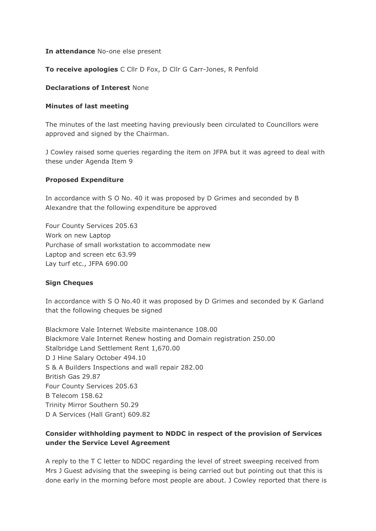### **In attendance** No-one else present

### **To receive apologies** C Cllr D Fox, D Cllr G Carr-Jones, R Penfold

### **Declarations of Interest** None

### **Minutes of last meeting**

The minutes of the last meeting having previously been circulated to Councillors were approved and signed by the Chairman.

J Cowley raised some queries regarding the item on JFPA but it was agreed to deal with these under Agenda Item 9

### **Proposed Expenditure**

In accordance with S O No. 40 it was proposed by D Grimes and seconded by B Alexandre that the following expenditure be approved

Four County Services 205.63 Work on new Laptop Purchase of small workstation to accommodate new Laptop and screen etc 63.99 Lay turf etc., JFPA 690.00

## **Sign Cheques**

In accordance with S O No.40 it was proposed by D Grimes and seconded by K Garland that the following cheques be signed

Blackmore Vale Internet Website maintenance 108.00 Blackmore Vale Internet Renew hosting and Domain registration 250.00 Stalbridge Land Settlement Rent 1,670.00 D J Hine Salary October 494.10 S & A Builders Inspections and wall repair 282.00 British Gas 29.87 Four County Services 205.63 B Telecom 158.62 Trinity Mirror Southern 50.29 D A Services (Hall Grant) 609.82

# **Consider withholding payment to NDDC in respect of the provision of Services under the Service Level Agreement**

A reply to the T C letter to NDDC regarding the level of street sweeping received from Mrs J Guest advising that the sweeping is being carried out but pointing out that this is done early in the morning before most people are about. J Cowley reported that there is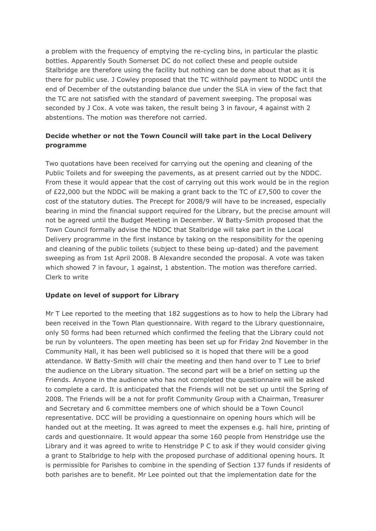a problem with the frequency of emptying the re-cycling bins, in particular the plastic bottles. Apparently South Somerset DC do not collect these and people outside Stalbridge are therefore using the facility but nothing can be done about that as it is there for public use. J Cowley proposed that the TC withhold payment to NDDC until the end of December of the outstanding balance due under the SLA in view of the fact that the TC are not satisfied with the standard of pavement sweeping. The proposal was seconded by J Cox. A vote was taken, the result being 3 in favour, 4 against with 2 abstentions. The motion was therefore not carried.

# **Decide whether or not the Town Council will take part in the Local Delivery programme**

Two quotations have been received for carrying out the opening and cleaning of the Public Toilets and for sweeping the pavements, as at present carried out by the NDDC. From these it would appear that the cost of carrying out this work would be in the region of £22,000 but the NDDC will be making a grant back to the TC of £7,500 to cover the cost of the statutory duties. The Precept for 2008/9 will have to be increased, especially bearing in mind the financial support required for the Library, but the precise amount will not be agreed until the Budget Meeting in December. W Batty-Smith proposed that the Town Council formally advise the NDDC that Stalbridge will take part in the Local Delivery programme in the first instance by taking on the responsibility for the opening and cleaning of the public toilets (subject to these being up-dated) and the pavement sweeping as from 1st April 2008. B Alexandre seconded the proposal. A vote was taken which showed 7 in favour, 1 against, 1 abstention. The motion was therefore carried. Clerk to write

## **Update on level of support for Library**

Mr T Lee reported to the meeting that 182 suggestions as to how to help the Library had been received in the Town Plan questionnaire. With regard to the Library questionnaire, only 50 forms had been returned which confirmed the feeling that the Library could not be run by volunteers. The open meeting has been set up for Friday 2nd November in the Community Hall, it has been well publicised so it is hoped that there will be a good attendance. W Batty-Smith will chair the meeting and then hand over to T Lee to brief the audience on the Library situation. The second part will be a brief on setting up the Friends. Anyone in the audience who has not completed the questionnaire will be asked to complete a card. It is anticipated that the Friends will not be set up until the Spring of 2008. The Friends will be a not for profit Community Group with a Chairman, Treasurer and Secretary and 6 committee members one of which should be a Town Council representative. DCC will be providing a questionnaire on opening hours which will be handed out at the meeting. It was agreed to meet the expenses e.g. hall hire, printing of cards and questionnaire. It would appear tha some 160 people from Henstridge use the Library and it was agreed to write to Henstridge P C to ask if they would consider giving a grant to Stalbridge to help with the proposed purchase of additional opening hours. It is permissible for Parishes to combine in the spending of Section 137 funds if residents of both parishes are to benefit. Mr Lee pointed out that the implementation date for the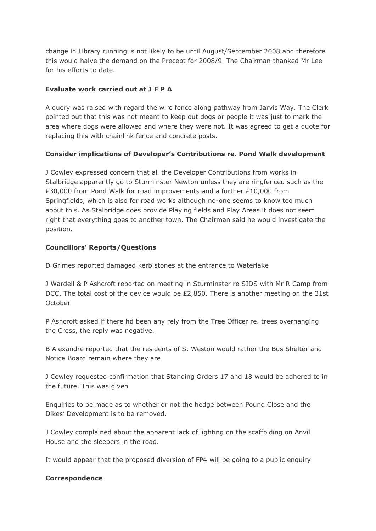change in Library running is not likely to be until August/September 2008 and therefore this would halve the demand on the Precept for 2008/9. The Chairman thanked Mr Lee for his efforts to date.

# **Evaluate work carried out at J F P A**

A query was raised with regard the wire fence along pathway from Jarvis Way. The Clerk pointed out that this was not meant to keep out dogs or people it was just to mark the area where dogs were allowed and where they were not. It was agreed to get a quote for replacing this with chainlink fence and concrete posts.

# **Consider implications of Developer's Contributions re. Pond Walk development**

J Cowley expressed concern that all the Developer Contributions from works in Stalbridge apparently go to Sturminster Newton unless they are ringfenced such as the £30,000 from Pond Walk for road improvements and a further £10,000 from Springfields, which is also for road works although no-one seems to know too much about this. As Stalbridge does provide Playing fields and Play Areas it does not seem right that everything goes to another town. The Chairman said he would investigate the position.

# **Councillors' Reports/Questions**

D Grimes reported damaged kerb stones at the entrance to Waterlake

J Wardell & P Ashcroft reported on meeting in Sturminster re SIDS with Mr R Camp from DCC. The total cost of the device would be £2,850. There is another meeting on the 31st October

P Ashcroft asked if there hd been any rely from the Tree Officer re. trees overhanging the Cross, the reply was negative.

B Alexandre reported that the residents of S. Weston would rather the Bus Shelter and Notice Board remain where they are

J Cowley requested confirmation that Standing Orders 17 and 18 would be adhered to in the future. This was given

Enquiries to be made as to whether or not the hedge between Pound Close and the Dikes' Development is to be removed.

J Cowley complained about the apparent lack of lighting on the scaffolding on Anvil House and the sleepers in the road.

It would appear that the proposed diversion of FP4 will be going to a public enquiry

## **Correspondence**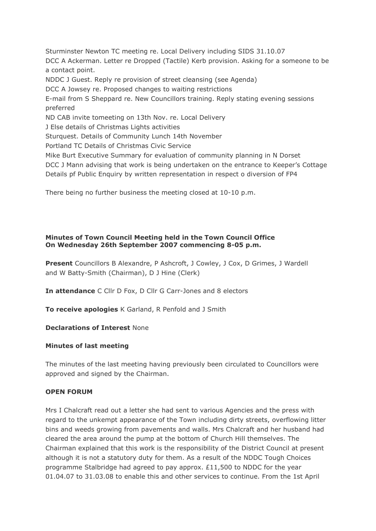Sturminster Newton TC meeting re. Local Delivery including SIDS 31.10.07 DCC A Ackerman. Letter re Dropped (Tactile) Kerb provision. Asking for a someone to be a contact point. NDDC J Guest. Reply re provision of street cleansing (see Agenda) DCC A Jowsey re. Proposed changes to waiting restrictions E-mail from S Sheppard re. New Councillors training. Reply stating evening sessions preferred ND CAB invite tomeeting on 13th Nov. re. Local Delivery J Else details of Christmas Lights activities Sturquest. Details of Community Lunch 14th November Portland TC Details of Christmas Civic Service Mike Burt Executive Summary for evaluation of community planning in N Dorset DCC J Mann advising that work is being undertaken on the entrance to Keeper's Cottage Details pf Public Enquiry by written representation in respect o diversion of FP4

There being no further business the meeting closed at 10-10 p.m.

## **Minutes of Town Council Meeting held in the Town Council Office On Wednesday 26th September 2007 commencing 8-05 p.m.**

**Present** Councillors B Alexandre, P Ashcroft, J Cowley, J Cox, D Grimes, J Wardell and W Batty-Smith (Chairman), D J Hine (Clerk)

**In attendance** C Cllr D Fox, D Cllr G Carr-Jones and 8 electors

**To receive apologies** K Garland, R Penfold and J Smith

**Declarations of Interest** None

# **Minutes of last meeting**

The minutes of the last meeting having previously been circulated to Councillors were approved and signed by the Chairman.

# **OPEN FORUM**

Mrs I Chalcraft read out a letter she had sent to various Agencies and the press with regard to the unkempt appearance of the Town including dirty streets, overflowing litter bins and weeds growing from pavements and walls. Mrs Chalcraft and her husband had cleared the area around the pump at the bottom of Church Hill themselves. The Chairman explained that this work is the responsibility of the District Council at present although it is not a statutory duty for them. As a result of the NDDC Tough Choices programme Stalbridge had agreed to pay approx. £11,500 to NDDC for the year 01.04.07 to 31.03.08 to enable this and other services to continue. From the 1st April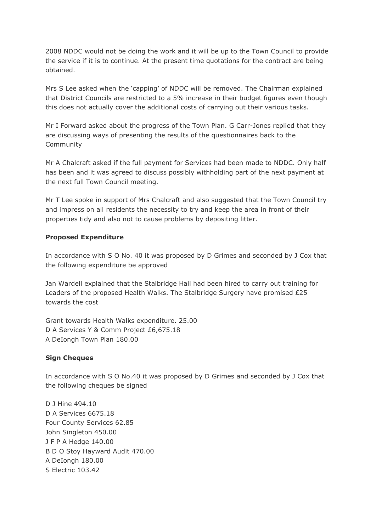2008 NDDC would not be doing the work and it will be up to the Town Council to provide the service if it is to continue. At the present time quotations for the contract are being obtained.

Mrs S Lee asked when the 'capping' of NDDC will be removed. The Chairman explained that District Councils are restricted to a 5% increase in their budget figures even though this does not actually cover the additional costs of carrying out their various tasks.

Mr I Forward asked about the progress of the Town Plan. G Carr-Jones replied that they are discussing ways of presenting the results of the questionnaires back to the Community

Mr A Chalcraft asked if the full payment for Services had been made to NDDC. Only half has been and it was agreed to discuss possibly withholding part of the next payment at the next full Town Council meeting.

Mr T Lee spoke in support of Mrs Chalcraft and also suggested that the Town Council try and impress on all residents the necessity to try and keep the area in front of their properties tidy and also not to cause problems by depositing litter.

### **Proposed Expenditure**

In accordance with S O No. 40 it was proposed by D Grimes and seconded by J Cox that the following expenditure be approved

Jan Wardell explained that the Stalbridge Hall had been hired to carry out training for Leaders of the proposed Health Walks. The Stalbridge Surgery have promised £25 towards the cost

Grant towards Health Walks expenditure. 25.00 D A Services Y & Comm Project £6,675.18 A DeIongh Town Plan 180.00

### **Sign Cheques**

In accordance with S O No.40 it was proposed by D Grimes and seconded by J Cox that the following cheques be signed

D J Hine 494.10 D A Services 6675.18 Four County Services 62.85 John Singleton 450.00 J F P A Hedge 140.00 B D O Stoy Hayward Audit 470.00 A DeIongh 180.00 S Electric 103.42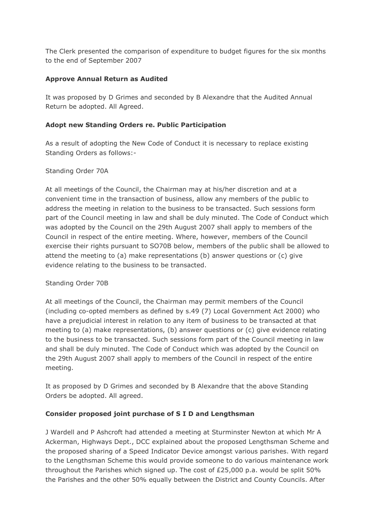The Clerk presented the comparison of expenditure to budget figures for the six months to the end of September 2007

## **Approve Annual Return as Audited**

It was proposed by D Grimes and seconded by B Alexandre that the Audited Annual Return be adopted. All Agreed.

## **Adopt new Standing Orders re. Public Participation**

As a result of adopting the New Code of Conduct it is necessary to replace existing Standing Orders as follows:-

## Standing Order 70A

At all meetings of the Council, the Chairman may at his/her discretion and at a convenient time in the transaction of business, allow any members of the public to address the meeting in relation to the business to be transacted. Such sessions form part of the Council meeting in law and shall be duly minuted. The Code of Conduct which was adopted by the Council on the 29th August 2007 shall apply to members of the Council in respect of the entire meeting. Where, however, members of the Council exercise their rights pursuant to SO70B below, members of the public shall be allowed to attend the meeting to (a) make representations (b) answer questions or (c) give evidence relating to the business to be transacted.

## Standing Order 70B

At all meetings of the Council, the Chairman may permit members of the Council (including co-opted members as defined by s.49 (7) Local Government Act 2000) who have a prejudicial interest in relation to any item of business to be transacted at that meeting to (a) make representations, (b) answer questions or (c) give evidence relating to the business to be transacted. Such sessions form part of the Council meeting in law and shall be duly minuted. The Code of Conduct which was adopted by the Council on the 29th August 2007 shall apply to members of the Council in respect of the entire meeting.

It as proposed by D Grimes and seconded by B Alexandre that the above Standing Orders be adopted. All agreed.

## **Consider proposed joint purchase of S I D and Lengthsman**

J Wardell and P Ashcroft had attended a meeting at Sturminster Newton at which Mr A Ackerman, Highways Dept., DCC explained about the proposed Lengthsman Scheme and the proposed sharing of a Speed Indicator Device amongst various parishes. With regard to the Lengthsman Scheme this would provide someone to do various maintenance work throughout the Parishes which signed up. The cost of £25,000 p.a. would be split 50% the Parishes and the other 50% equally between the District and County Councils. After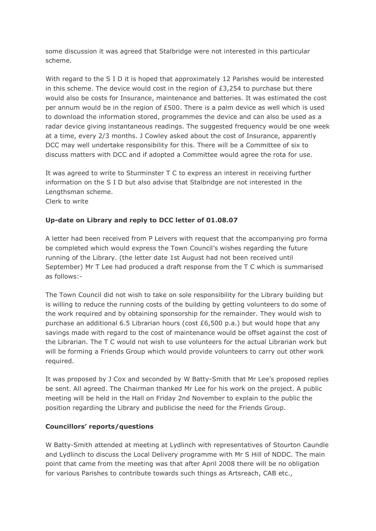some discussion it was agreed that Stalbridge were not interested in this particular scheme.

With regard to the S I D it is hoped that approximately 12 Parishes would be interested in this scheme. The device would cost in the region of  $E3,254$  to purchase but there would also be costs for Insurance, maintenance and batteries. It was estimated the cost per annum would be in the region of £500. There is a palm device as well which is used to download the information stored, programmes the device and can also be used as a radar device giving instantaneous readings. The suggested frequency would be one week at a time, every 2/3 months. J Cowley asked about the cost of Insurance, apparently DCC may well undertake responsibility for this. There will be a Committee of six to discuss matters with DCC and if adopted a Committee would agree the rota for use.

It was agreed to write to Sturminster T C to express an interest in receiving further information on the S I D but also advise that Stalbridge are not interested in the Lengthsman scheme.

Clerk to write

# **Up-date on Library and reply to DCC letter of 01.08.07**

A letter had been received from P Leivers with request that the accompanying pro forma be completed which would express the Town Council's wishes regarding the future running of the Library. (the letter date 1st August had not been received until September) Mr T Lee had produced a draft response from the T C which is summarised as follows:-

The Town Council did not wish to take on sole responsibility for the Library building but is willing to reduce the running costs of the building by getting volunteers to do some of the work required and by obtaining sponsorship for the remainder. They would wish to purchase an additional 6.5 Librarian hours (cost  $£6,500$  p.a.) but would hope that any savings made with regard to the cost of maintenance would be offset against the cost of the Librarian. The T C would not wish to use volunteers for the actual Librarian work but will be forming a Friends Group which would provide volunteers to carry out other work required.

It was proposed by J Cox and seconded by W Batty-Smith that Mr Lee's proposed replies be sent. All agreed. The Chairman thanked Mr Lee for his work on the project. A public meeting will be held in the Hall on Friday 2nd November to explain to the public the position regarding the Library and publicise the need for the Friends Group.

## **Councillors' reports/questions**

W Batty-Smith attended at meeting at Lydlinch with representatives of Stourton Caundle and Lydlinch to discuss the Local Delivery programme with Mr S Hill of NDDC. The main point that came from the meeting was that after April 2008 there will be no obligation for various Parishes to contribute towards such things as Artsreach, CAB etc.,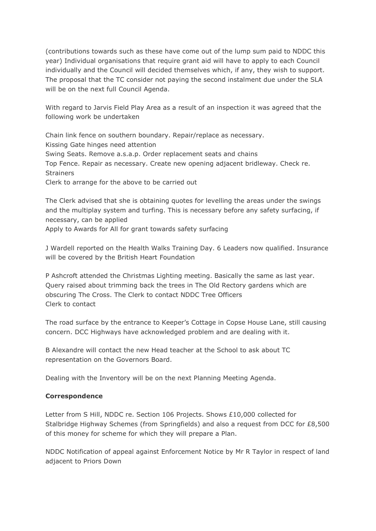(contributions towards such as these have come out of the lump sum paid to NDDC this year) Individual organisations that require grant aid will have to apply to each Council individually and the Council will decided themselves which, if any, they wish to support. The proposal that the TC consider not paying the second instalment due under the SLA will be on the next full Council Agenda.

With regard to Jarvis Field Play Area as a result of an inspection it was agreed that the following work be undertaken

Chain link fence on southern boundary. Repair/replace as necessary. Kissing Gate hinges need attention Swing Seats. Remove a.s.a.p. Order replacement seats and chains Top Fence. Repair as necessary. Create new opening adjacent bridleway. Check re. **Strainers** Clerk to arrange for the above to be carried out

The Clerk advised that she is obtaining quotes for levelling the areas under the swings and the multiplay system and turfing. This is necessary before any safety surfacing, if necessary, can be applied Apply to Awards for All for grant towards safety surfacing

J Wardell reported on the Health Walks Training Day. 6 Leaders now qualified. Insurance will be covered by the British Heart Foundation

P Ashcroft attended the Christmas Lighting meeting. Basically the same as last year. Query raised about trimming back the trees in The Old Rectory gardens which are obscuring The Cross. The Clerk to contact NDDC Tree Officers Clerk to contact

The road surface by the entrance to Keeper's Cottage in Copse House Lane, still causing concern. DCC Highways have acknowledged problem and are dealing with it.

B Alexandre will contact the new Head teacher at the School to ask about TC representation on the Governors Board.

Dealing with the Inventory will be on the next Planning Meeting Agenda.

## **Correspondence**

Letter from S Hill, NDDC re. Section 106 Projects. Shows £10,000 collected for Stalbridge Highway Schemes (from Springfields) and also a request from DCC for £8,500 of this money for scheme for which they will prepare a Plan.

NDDC Notification of appeal against Enforcement Notice by Mr R Taylor in respect of land adjacent to Priors Down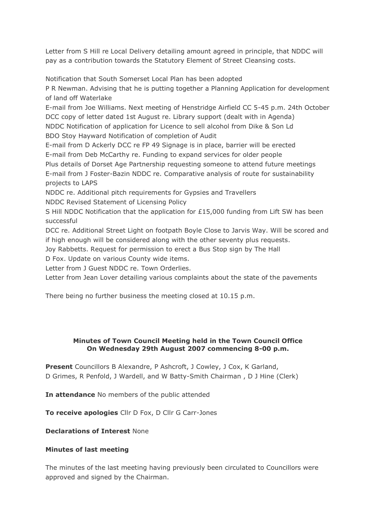Letter from S Hill re Local Delivery detailing amount agreed in principle, that NDDC will pay as a contribution towards the Statutory Element of Street Cleansing costs.

Notification that South Somerset Local Plan has been adopted

P R Newman. Advising that he is putting together a Planning Application for development of land off Waterlake

E-mail from Joe Williams. Next meeting of Henstridge Airfield CC 5-45 p.m. 24th October DCC copy of letter dated 1st August re. Library support (dealt with in Agenda) NDDC Notification of application for Licence to sell alcohol from Dike & Son Ld BDO Stoy Hayward Notification of completion of Audit

E-mail from D Ackerly DCC re FP 49 Signage is in place, barrier will be erected E-mail from Deb McCarthy re. Funding to expand services for older people

Plus details of Dorset Age Partnership requesting someone to attend future meetings E-mail from J Foster-Bazin NDDC re. Comparative analysis of route for sustainability projects to LAPS

NDDC re. Additional pitch requirements for Gypsies and Travellers NDDC Revised Statement of Licensing Policy

S Hill NDDC Notification that the application for £15,000 funding from Lift SW has been successful

DCC re. Additional Street Light on footpath Boyle Close to Jarvis Way. Will be scored and if high enough will be considered along with the other seventy plus requests.

Joy Rabbetts. Request for permission to erect a Bus Stop sign by The Hall

D Fox. Update on various County wide items.

Letter from J Guest NDDC re. Town Orderlies.

Letter from Jean Lover detailing various complaints about the state of the pavements

There being no further business the meeting closed at 10.15 p.m.

## **Minutes of Town Council Meeting held in the Town Council Office On Wednesday 29th August 2007 commencing 8-00 p.m.**

**Present** Councillors B Alexandre, P Ashcroft, J Cowley, J Cox, K Garland, D Grimes, R Penfold, J Wardell, and W Batty-Smith Chairman , D J Hine (Clerk)

**In attendance** No members of the public attended

**To receive apologies** Cllr D Fox, D Cllr G Carr-Jones

**Declarations of Interest** None

## **Minutes of last meeting**

The minutes of the last meeting having previously been circulated to Councillors were approved and signed by the Chairman.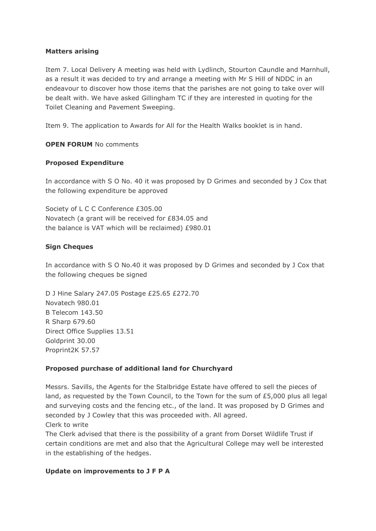### **Matters arising**

Item 7. Local Delivery A meeting was held with Lydlinch, Stourton Caundle and Marnhull, as a result it was decided to try and arrange a meeting with Mr S Hill of NDDC in an endeavour to discover how those items that the parishes are not going to take over will be dealt with. We have asked Gillingham TC if they are interested in quoting for the Toilet Cleaning and Pavement Sweeping.

Item 9. The application to Awards for All for the Health Walks booklet is in hand.

### **OPEN FORUM** No comments

### **Proposed Expenditure**

In accordance with S O No. 40 it was proposed by D Grimes and seconded by J Cox that the following expenditure be approved

Society of L C C Conference £305.00 Novatech (a grant will be received for £834.05 and the balance is VAT which will be reclaimed) £980.01

### **Sign Cheques**

In accordance with S O No.40 it was proposed by D Grimes and seconded by J Cox that the following cheques be signed

D J Hine Salary 247.05 Postage £25.65 £272.70 Novatech 980.01 B Telecom 143.50 R Sharp 679.60 Direct Office Supplies 13.51 Goldprint 30.00 Proprint2K 57.57

### **Proposed purchase of additional land for Churchyard**

Messrs. Savills, the Agents for the Stalbridge Estate have offered to sell the pieces of land, as requested by the Town Council, to the Town for the sum of £5,000 plus all legal and surveying costs and the fencing etc., of the land. It was proposed by D Grimes and seconded by J Cowley that this was proceeded with. All agreed.

Clerk to write

The Clerk advised that there is the possibility of a grant from Dorset Wildlife Trust if certain conditions are met and also that the Agricultural College may well be interested in the establishing of the hedges.

### **Update on improvements to J F P A**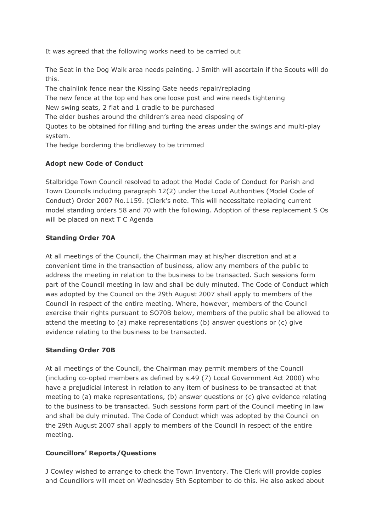It was agreed that the following works need to be carried out

The Seat in the Dog Walk area needs painting. J Smith will ascertain if the Scouts will do this.

The chainlink fence near the Kissing Gate needs repair/replacing The new fence at the top end has one loose post and wire needs tightening New swing seats, 2 flat and 1 cradle to be purchased The elder bushes around the children's area need disposing of Quotes to be obtained for filling and turfing the areas under the swings and multi-play system.

The hedge bordering the bridleway to be trimmed

# **Adopt new Code of Conduct**

Stalbridge Town Council resolved to adopt the Model Code of Conduct for Parish and Town Councils including paragraph 12(2) under the Local Authorities (Model Code of Conduct) Order 2007 No.1159. (Clerk's note. This will necessitate replacing current model standing orders 58 and 70 with the following. Adoption of these replacement S Os will be placed on next T C Agenda

# **Standing Order 70A**

At all meetings of the Council, the Chairman may at his/her discretion and at a convenient time in the transaction of business, allow any members of the public to address the meeting in relation to the business to be transacted. Such sessions form part of the Council meeting in law and shall be duly minuted. The Code of Conduct which was adopted by the Council on the 29th August 2007 shall apply to members of the Council in respect of the entire meeting. Where, however, members of the Council exercise their rights pursuant to SO70B below, members of the public shall be allowed to attend the meeting to (a) make representations (b) answer questions or (c) give evidence relating to the business to be transacted.

## **Standing Order 70B**

At all meetings of the Council, the Chairman may permit members of the Council (including co-opted members as defined by s.49 (7) Local Government Act 2000) who have a prejudicial interest in relation to any item of business to be transacted at that meeting to (a) make representations, (b) answer questions or (c) give evidence relating to the business to be transacted. Such sessions form part of the Council meeting in law and shall be duly minuted. The Code of Conduct which was adopted by the Council on the 29th August 2007 shall apply to members of the Council in respect of the entire meeting.

# **Councillors' Reports/Questions**

J Cowley wished to arrange to check the Town Inventory. The Clerk will provide copies and Councillors will meet on Wednesday 5th September to do this. He also asked about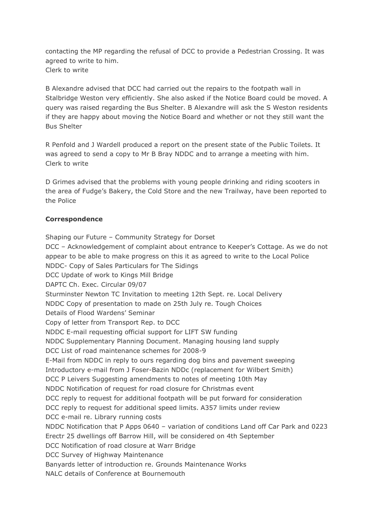contacting the MP regarding the refusal of DCC to provide a Pedestrian Crossing. It was agreed to write to him. Clerk to write

B Alexandre advised that DCC had carried out the repairs to the footpath wall in Stalbridge Weston very efficiently. She also asked if the Notice Board could be moved. A query was raised regarding the Bus Shelter. B Alexandre will ask the S Weston residents if they are happy about moving the Notice Board and whether or not they still want the Bus Shelter

R Penfold and J Wardell produced a report on the present state of the Public Toilets. It was agreed to send a copy to Mr B Bray NDDC and to arrange a meeting with him. Clerk to write

D Grimes advised that the problems with young people drinking and riding scooters in the area of Fudge's Bakery, the Cold Store and the new Trailway, have been reported to the Police

### **Correspondence**

Shaping our Future – Community Strategy for Dorset DCC – Acknowledgement of complaint about entrance to Keeper's Cottage. As we do not appear to be able to make progress on this it as agreed to write to the Local Police NDDC- Copy of Sales Particulars for The Sidings DCC Update of work to Kings Mill Bridge DAPTC Ch. Exec. Circular 09/07 Sturminster Newton TC Invitation to meeting 12th Sept. re. Local Delivery NDDC Copy of presentation to made on 25th July re. Tough Choices Details of Flood Wardens' Seminar Copy of letter from Transport Rep. to DCC NDDC E-mail requesting official support for LIFT SW funding NDDC Supplementary Planning Document. Managing housing land supply DCC List of road maintenance schemes for 2008-9 E-Mail from NDDC in reply to ours regarding dog bins and pavement sweeping Introductory e-mail from J Foser-Bazin NDDc (replacement for Wilbert Smith) DCC P Leivers Suggesting amendments to notes of meeting 10th May NDDC Notification of request for road closure for Christmas event DCC reply to request for additional footpath will be put forward for consideration DCC reply to request for additional speed limits. A357 limits under review DCC e-mail re. Library running costs NDDC Notification that P Apps 0640 – variation of conditions Land off Car Park and 0223 Erectr 25 dwellings off Barrow Hill, will be considered on 4th September DCC Notification of road closure at Warr Bridge DCC Survey of Highway Maintenance Banyards letter of introduction re. Grounds Maintenance Works NALC details of Conference at Bournemouth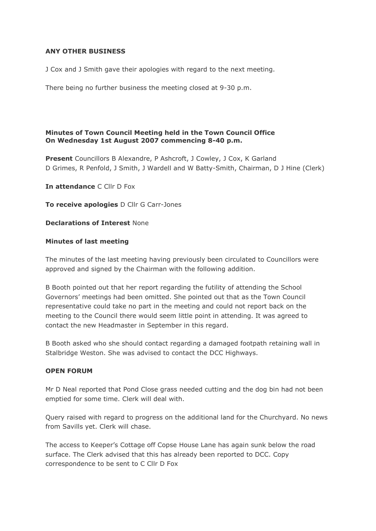## **ANY OTHER BUSINESS**

J Cox and J Smith gave their apologies with regard to the next meeting.

There being no further business the meeting closed at 9-30 p.m.

### **Minutes of Town Council Meeting held in the Town Council Office On Wednesday 1st August 2007 commencing 8-40 p.m.**

**Present** Councillors B Alexandre, P Ashcroft, J Cowley, J Cox, K Garland D Grimes, R Penfold, J Smith, J Wardell and W Batty-Smith, Chairman, D J Hine (Clerk)

**In attendance** C Cllr D Fox

**To receive apologies** D Cllr G Carr-Jones

### **Declarations of Interest** None

### **Minutes of last meeting**

The minutes of the last meeting having previously been circulated to Councillors were approved and signed by the Chairman with the following addition.

B Booth pointed out that her report regarding the futility of attending the School Governors' meetings had been omitted. She pointed out that as the Town Council representative could take no part in the meeting and could not report back on the meeting to the Council there would seem little point in attending. It was agreed to contact the new Headmaster in September in this regard.

B Booth asked who she should contact regarding a damaged footpath retaining wall in Stalbridge Weston. She was advised to contact the DCC Highways.

## **OPEN FORUM**

Mr D Neal reported that Pond Close grass needed cutting and the dog bin had not been emptied for some time. Clerk will deal with.

Query raised with regard to progress on the additional land for the Churchyard. No news from Savills yet. Clerk will chase.

The access to Keeper's Cottage off Copse House Lane has again sunk below the road surface. The Clerk advised that this has already been reported to DCC. Copy correspondence to be sent to C Cllr D Fox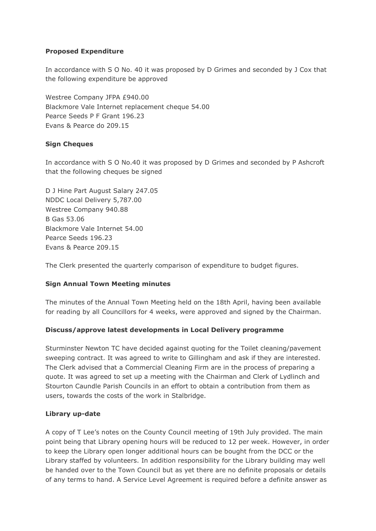# **Proposed Expenditure**

In accordance with S O No. 40 it was proposed by D Grimes and seconded by J Cox that the following expenditure be approved

Westree Company JFPA £940.00 Blackmore Vale Internet replacement cheque 54.00 Pearce Seeds P F Grant 196.23 Evans & Pearce do 209.15

## **Sign Cheques**

In accordance with S O No.40 it was proposed by D Grimes and seconded by P Ashcroft that the following cheques be signed

D J Hine Part August Salary 247.05 NDDC Local Delivery 5,787.00 Westree Company 940.88 B Gas 53.06 Blackmore Vale Internet 54.00 Pearce Seeds 196.23 Evans & Pearce 209.15

The Clerk presented the quarterly comparison of expenditure to budget figures.

## **Sign Annual Town Meeting minutes**

The minutes of the Annual Town Meeting held on the 18th April, having been available for reading by all Councillors for 4 weeks, were approved and signed by the Chairman.

## **Discuss/approve latest developments in Local Delivery programme**

Sturminster Newton TC have decided against quoting for the Toilet cleaning/pavement sweeping contract. It was agreed to write to Gillingham and ask if they are interested. The Clerk advised that a Commercial Cleaning Firm are in the process of preparing a quote. It was agreed to set up a meeting with the Chairman and Clerk of Lydlinch and Stourton Caundle Parish Councils in an effort to obtain a contribution from them as users, towards the costs of the work in Stalbridge.

## **Library up-date**

A copy of T Lee's notes on the County Council meeting of 19th July provided. The main point being that Library opening hours will be reduced to 12 per week. However, in order to keep the Library open longer additional hours can be bought from the DCC or the Library staffed by volunteers. In addition responsibility for the Library building may well be handed over to the Town Council but as yet there are no definite proposals or details of any terms to hand. A Service Level Agreement is required before a definite answer as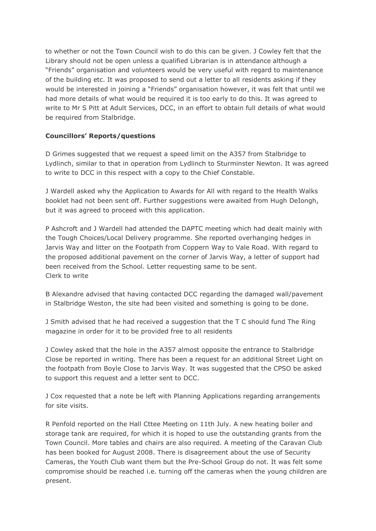to whether or not the Town Council wish to do this can be given. J Cowley felt that the Library should not be open unless a qualified Librarian is in attendance although a "Friends" organisation and volunteers would be very useful with regard to maintenance of the building etc. It was proposed to send out a letter to all residents asking if they would be interested in joining a "Friends" organisation however, it was felt that until we had more details of what would be required it is too early to do this. It was agreed to write to Mr S Pitt at Adult Services, DCC, in an effort to obtain full details of what would be required from Stalbridge.

# **Councillors' Reports/questions**

D Grimes suggested that we request a speed limit on the A357 from Stalbridge to Lydlinch, similar to that in operation from Lydlinch to Sturminster Newton. It was agreed to write to DCC in this respect with a copy to the Chief Constable.

J Wardell asked why the Application to Awards for All with regard to the Health Walks booklet had not been sent off. Further suggestions were awaited from Hugh DeIongh, but it was agreed to proceed with this application.

P Ashcroft and J Wardell had attended the DAPTC meeting which had dealt mainly with the Tough Choices/Local Delivery programme. She reported overhanging hedges in Jarvis Way and litter on the Footpath from Coppern Way to Vale Road. With regard to the proposed additional pavement on the corner of Jarvis Way, a letter of support had been received from the School. Letter requesting same to be sent. Clerk to write

B Alexandre advised that having contacted DCC regarding the damaged wall/pavement in Stalbridge Weston, the site had been visited and something is going to be done.

J Smith advised that he had received a suggestion that the T C should fund The Ring magazine in order for it to be provided free to all residents

J Cowley asked that the hole in the A357 almost opposite the entrance to Stalbridge Close be reported in writing. There has been a request for an additional Street Light on the footpath from Boyle Close to Jarvis Way. It was suggested that the CPSO be asked to support this request and a letter sent to DCC.

J Cox requested that a note be left with Planning Applications regarding arrangements for site visits.

R Penfold reported on the Hall Cttee Meeting on 11th July. A new heating boiler and storage tank are required, for which it is hoped to use the outstanding grants from the Town Council. More tables and chairs are also required. A meeting of the Caravan Club has been booked for August 2008. There is disagreement about the use of Security Cameras, the Youth Club want them but the Pre-School Group do not. It was felt some compromise should be reached i.e. turning off the cameras when the young children are present.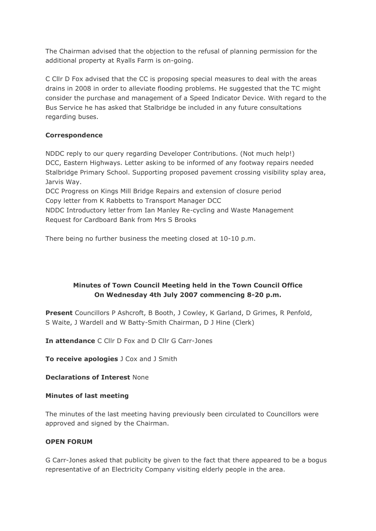The Chairman advised that the objection to the refusal of planning permission for the additional property at Ryalls Farm is on-going.

C Cllr D Fox advised that the CC is proposing special measures to deal with the areas drains in 2008 in order to alleviate flooding problems. He suggested that the TC might consider the purchase and management of a Speed Indicator Device. With regard to the Bus Service he has asked that Stalbridge be included in any future consultations regarding buses.

## **Correspondence**

NDDC reply to our query regarding Developer Contributions. (Not much help!) DCC, Eastern Highways. Letter asking to be informed of any footway repairs needed Stalbridge Primary School. Supporting proposed pavement crossing visibility splay area, Jarvis Way.

DCC Progress on Kings Mill Bridge Repairs and extension of closure period Copy letter from K Rabbetts to Transport Manager DCC

NDDC Introductory letter from Ian Manley Re-cycling and Waste Management Request for Cardboard Bank from Mrs S Brooks

There being no further business the meeting closed at 10-10 p.m.

# **Minutes of Town Council Meeting held in the Town Council Office On Wednesday 4th July 2007 commencing 8-20 p.m.**

**Present** Councillors P Ashcroft, B Booth, J Cowley, K Garland, D Grimes, R Penfold, S Waite, J Wardell and W Batty-Smith Chairman, D J Hine (Clerk)

**In attendance** C Cllr D Fox and D Cllr G Carr-Jones

**To receive apologies** J Cox and J Smith

**Declarations of Interest** None

## **Minutes of last meeting**

The minutes of the last meeting having previously been circulated to Councillors were approved and signed by the Chairman.

## **OPEN FORUM**

G Carr-Jones asked that publicity be given to the fact that there appeared to be a bogus representative of an Electricity Company visiting elderly people in the area.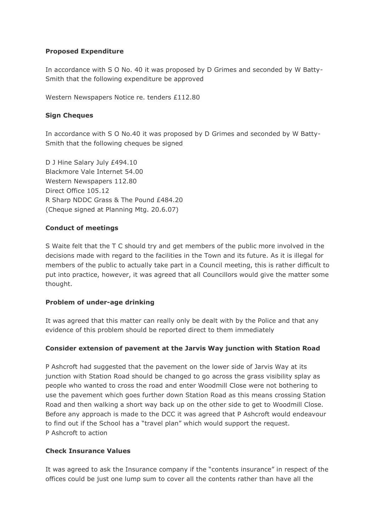## **Proposed Expenditure**

In accordance with S O No. 40 it was proposed by D Grimes and seconded by W Batty-Smith that the following expenditure be approved

Western Newspapers Notice re. tenders £112.80

## **Sign Cheques**

In accordance with S O No.40 it was proposed by D Grimes and seconded by W Batty-Smith that the following cheques be signed

D J Hine Salary July £494.10 Blackmore Vale Internet 54.00 Western Newspapers 112.80 Direct Office 105.12 R Sharp NDDC Grass & The Pound £484.20 (Cheque signed at Planning Mtg. 20.6.07)

## **Conduct of meetings**

S Waite felt that the T C should try and get members of the public more involved in the decisions made with regard to the facilities in the Town and its future. As it is illegal for members of the public to actually take part in a Council meeting, this is rather difficult to put into practice, however, it was agreed that all Councillors would give the matter some thought.

## **Problem of under-age drinking**

It was agreed that this matter can really only be dealt with by the Police and that any evidence of this problem should be reported direct to them immediately

## **Consider extension of pavement at the Jarvis Way junction with Station Road**

P Ashcroft had suggested that the pavement on the lower side of Jarvis Way at its junction with Station Road should be changed to go across the grass visibility splay as people who wanted to cross the road and enter Woodmill Close were not bothering to use the pavement which goes further down Station Road as this means crossing Station Road and then walking a short way back up on the other side to get to Woodmill Close. Before any approach is made to the DCC it was agreed that P Ashcroft would endeavour to find out if the School has a "travel plan" which would support the request. P Ashcroft to action

## **Check Insurance Values**

It was agreed to ask the Insurance company if the "contents insurance" in respect of the offices could be just one lump sum to cover all the contents rather than have all the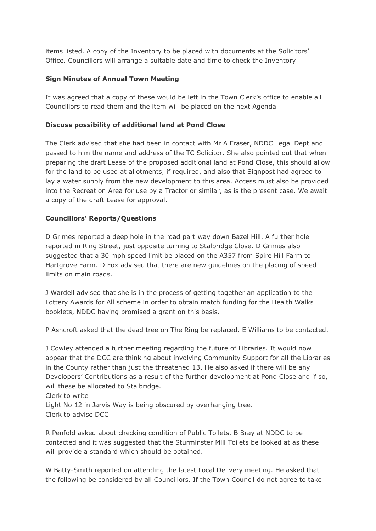items listed. A copy of the Inventory to be placed with documents at the Solicitors' Office. Councillors will arrange a suitable date and time to check the Inventory

## **Sign Minutes of Annual Town Meeting**

It was agreed that a copy of these would be left in the Town Clerk's office to enable all Councillors to read them and the item will be placed on the next Agenda

## **Discuss possibility of additional land at Pond Close**

The Clerk advised that she had been in contact with Mr A Fraser, NDDC Legal Dept and passed to him the name and address of the TC Solicitor. She also pointed out that when preparing the draft Lease of the proposed additional land at Pond Close, this should allow for the land to be used at allotments, if required, and also that Signpost had agreed to lay a water supply from the new development to this area. Access must also be provided into the Recreation Area for use by a Tractor or similar, as is the present case. We await a copy of the draft Lease for approval.

# **Councillors' Reports/Questions**

D Grimes reported a deep hole in the road part way down Bazel Hill. A further hole reported in Ring Street, just opposite turning to Stalbridge Close. D Grimes also suggested that a 30 mph speed limit be placed on the A357 from Spire Hill Farm to Hartgrove Farm. D Fox advised that there are new guidelines on the placing of speed limits on main roads.

J Wardell advised that she is in the process of getting together an application to the Lottery Awards for All scheme in order to obtain match funding for the Health Walks booklets, NDDC having promised a grant on this basis.

P Ashcroft asked that the dead tree on The Ring be replaced. E Williams to be contacted.

J Cowley attended a further meeting regarding the future of Libraries. It would now appear that the DCC are thinking about involving Community Support for all the Libraries in the County rather than just the threatened 13. He also asked if there will be any Developers' Contributions as a result of the further development at Pond Close and if so, will these be allocated to Stalbridge.

Clerk to write Light No 12 in Jarvis Way is being obscured by overhanging tree. Clerk to advise DCC

R Penfold asked about checking condition of Public Toilets. B Bray at NDDC to be contacted and it was suggested that the Sturminster Mill Toilets be looked at as these will provide a standard which should be obtained.

W Batty-Smith reported on attending the latest Local Delivery meeting. He asked that the following be considered by all Councillors. If the Town Council do not agree to take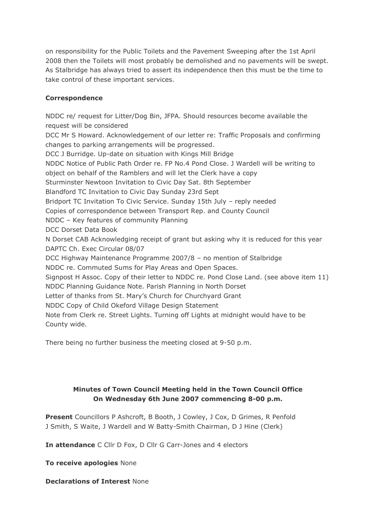on responsibility for the Public Toilets and the Pavement Sweeping after the 1st April 2008 then the Toilets will most probably be demolished and no pavements will be swept. As Stalbridge has always tried to assert its independence then this must be the time to take control of these important services.

## **Correspondence**

NDDC re/ request for Litter/Dog Bin, JFPA. Should resources become available the request will be considered DCC Mr S Howard. Acknowledgement of our letter re: Traffic Proposals and confirming changes to parking arrangements will be progressed. DCC J Burridge. Up-date on situation with Kings Mill Bridge NDDC Notice of Public Path Order re. FP No.4 Pond Close. J Wardell will be writing to object on behalf of the Ramblers and will let the Clerk have a copy Sturminster Newtoon Invitation to Civic Day Sat. 8th September Blandford TC Invitation to Civic Day Sunday 23rd Sept Bridport TC Invitation To Civic Service. Sunday 15th July – reply needed Copies of correspondence between Transport Rep. and County Council NDDC – Key features of community Planning DCC Dorset Data Book N Dorset CAB Acknowledging receipt of grant but asking why it is reduced for this year DAPTC Ch. Exec Circular 08/07 DCC Highway Maintenance Programme 2007/8 – no mention of Stalbridge NDDC re. Commuted Sums for Play Areas and Open Spaces. Signpost H Assoc. Copy of their letter to NDDC re. Pond Close Land. (see above item 11) NDDC Planning Guidance Note. Parish Planning in North Dorset Letter of thanks from St. Mary's Church for Churchyard Grant NDDC Copy of Child Okeford Village Design Statement Note from Clerk re. Street Lights. Turning off Lights at midnight would have to be County wide.

There being no further business the meeting closed at 9-50 p.m.

# **Minutes of Town Council Meeting held in the Town Council Office On Wednesday 6th June 2007 commencing 8-00 p.m.**

**Present** Councillors P Ashcroft, B Booth, J Cowley, J Cox, D Grimes, R Penfold J Smith, S Waite, J Wardell and W Batty-Smith Chairman, D J Hine (Clerk)

**In attendance** C Cllr D Fox, D Cllr G Carr-Jones and 4 electors

**To receive apologies** None

**Declarations of Interest** None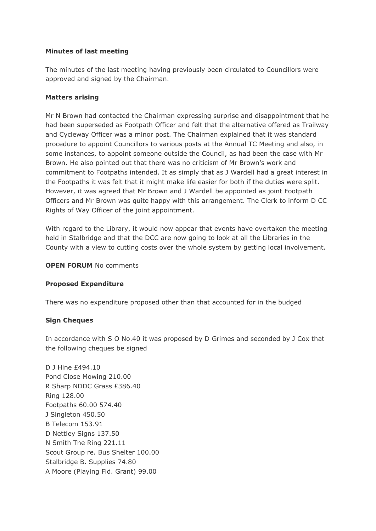## **Minutes of last meeting**

The minutes of the last meeting having previously been circulated to Councillors were approved and signed by the Chairman.

## **Matters arising**

Mr N Brown had contacted the Chairman expressing surprise and disappointment that he had been superseded as Footpath Officer and felt that the alternative offered as Trailway and Cycleway Officer was a minor post. The Chairman explained that it was standard procedure to appoint Councillors to various posts at the Annual TC Meeting and also, in some instances, to appoint someone outside the Council, as had been the case with Mr Brown. He also pointed out that there was no criticism of Mr Brown's work and commitment to Footpaths intended. It as simply that as J Wardell had a great interest in the Footpaths it was felt that it might make life easier for both if the duties were split. However, it was agreed that Mr Brown and J Wardell be appointed as joint Footpath Officers and Mr Brown was quite happy with this arrangement. The Clerk to inform D CC Rights of Way Officer of the joint appointment.

With regard to the Library, it would now appear that events have overtaken the meeting held in Stalbridge and that the DCC are now going to look at all the Libraries in the County with a view to cutting costs over the whole system by getting local involvement.

### **OPEN FORUM** No comments

## **Proposed Expenditure**

There was no expenditure proposed other than that accounted for in the budged

## **Sign Cheques**

In accordance with S O No.40 it was proposed by D Grimes and seconded by J Cox that the following cheques be signed

D J Hine £494.10 Pond Close Mowing 210.00 R Sharp NDDC Grass £386.40 Ring 128.00 Footpaths 60.00 574.40 J Singleton 450.50 B Telecom 153.91 D Nettley Signs 137.50 N Smith The Ring 221.11 Scout Group re. Bus Shelter 100.00 Stalbridge B. Supplies 74.80 A Moore (Playing Fld. Grant) 99.00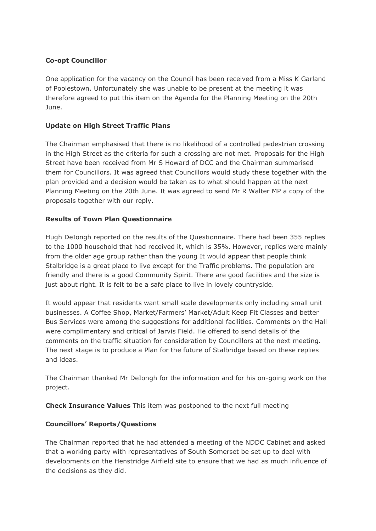## **Co-opt Councillor**

One application for the vacancy on the Council has been received from a Miss K Garland of Poolestown. Unfortunately she was unable to be present at the meeting it was therefore agreed to put this item on the Agenda for the Planning Meeting on the 20th June.

# **Update on High Street Traffic Plans**

The Chairman emphasised that there is no likelihood of a controlled pedestrian crossing in the High Street as the criteria for such a crossing are not met. Proposals for the High Street have been received from Mr S Howard of DCC and the Chairman summarised them for Councillors. It was agreed that Councillors would study these together with the plan provided and a decision would be taken as to what should happen at the next Planning Meeting on the 20th June. It was agreed to send Mr R Walter MP a copy of the proposals together with our reply.

# **Results of Town Plan Questionnaire**

Hugh DeIongh reported on the results of the Questionnaire. There had been 355 replies to the 1000 household that had received it, which is 35%. However, replies were mainly from the older age group rather than the young It would appear that people think Stalbridge is a great place to live except for the Traffic problems. The population are friendly and there is a good Community Spirit. There are good facilities and the size is just about right. It is felt to be a safe place to live in lovely countryside.

It would appear that residents want small scale developments only including small unit businesses. A Coffee Shop, Market/Farmers' Market/Adult Keep Fit Classes and better Bus Services were among the suggestions for additional facilities. Comments on the Hall were complimentary and critical of Jarvis Field. He offered to send details of the comments on the traffic situation for consideration by Councillors at the next meeting. The next stage is to produce a Plan for the future of Stalbridge based on these replies and ideas.

The Chairman thanked Mr DeIongh for the information and for his on-going work on the project.

**Check Insurance Values** This item was postponed to the next full meeting

## **Councillors' Reports/Questions**

The Chairman reported that he had attended a meeting of the NDDC Cabinet and asked that a working party with representatives of South Somerset be set up to deal with developments on the Henstridge Airfield site to ensure that we had as much influence of the decisions as they did.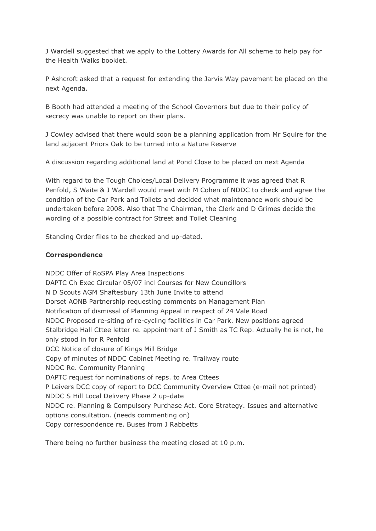J Wardell suggested that we apply to the Lottery Awards for All scheme to help pay for the Health Walks booklet.

P Ashcroft asked that a request for extending the Jarvis Way pavement be placed on the next Agenda.

B Booth had attended a meeting of the School Governors but due to their policy of secrecy was unable to report on their plans.

J Cowley advised that there would soon be a planning application from Mr Squire for the land adjacent Priors Oak to be turned into a Nature Reserve

A discussion regarding additional land at Pond Close to be placed on next Agenda

With regard to the Tough Choices/Local Delivery Programme it was agreed that R Penfold, S Waite & J Wardell would meet with M Cohen of NDDC to check and agree the condition of the Car Park and Toilets and decided what maintenance work should be undertaken before 2008. Also that The Chairman, the Clerk and D Grimes decide the wording of a possible contract for Street and Toilet Cleaning

Standing Order files to be checked and up-dated.

## **Correspondence**

NDDC Offer of RoSPA Play Area Inspections DAPTC Ch Exec Circular 05/07 incl Courses for New Councillors N D Scouts AGM Shaftesbury 13th June Invite to attend Dorset AONB Partnership requesting comments on Management Plan Notification of dismissal of Planning Appeal in respect of 24 Vale Road NDDC Proposed re-siting of re-cycling facilities in Car Park. New positions agreed Stalbridge Hall Cttee letter re. appointment of J Smith as TC Rep. Actually he is not, he only stood in for R Penfold DCC Notice of closure of Kings Mill Bridge Copy of minutes of NDDC Cabinet Meeting re. Trailway route NDDC Re. Community Planning DAPTC request for nominations of reps. to Area Cttees P Leivers DCC copy of report to DCC Community Overview Cttee (e-mail not printed) NDDC S Hill Local Delivery Phase 2 up-date NDDC re. Planning & Compulsory Purchase Act. Core Strategy. Issues and alternative options consultation. (needs commenting on) Copy correspondence re. Buses from J Rabbetts

There being no further business the meeting closed at 10 p.m.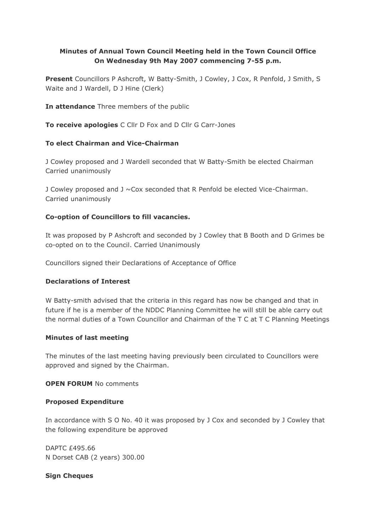# **Minutes of Annual Town Council Meeting held in the Town Council Office On Wednesday 9th May 2007 commencing 7-55 p.m.**

**Present** Councillors P Ashcroft, W Batty-Smith, J Cowley, J Cox, R Penfold, J Smith, S Waite and J Wardell, D J Hine (Clerk)

**In attendance** Three members of the public

**To receive apologies** C Cllr D Fox and D Cllr G Carr-Jones

# **To elect Chairman and Vice-Chairman**

J Cowley proposed and J Wardell seconded that W Batty-Smith be elected Chairman Carried unanimously

J Cowley proposed and  $J \sim$ Cox seconded that R Penfold be elected Vice-Chairman. Carried unanimously

# **Co-option of Councillors to fill vacancies.**

It was proposed by P Ashcroft and seconded by J Cowley that B Booth and D Grimes be co-opted on to the Council. Carried Unanimously

Councillors signed their Declarations of Acceptance of Office

## **Declarations of Interest**

W Batty-smith advised that the criteria in this regard has now be changed and that in future if he is a member of the NDDC Planning Committee he will still be able carry out the normal duties of a Town Councillor and Chairman of the T C at T C Planning Meetings

## **Minutes of last meeting**

The minutes of the last meeting having previously been circulated to Councillors were approved and signed by the Chairman.

# **OPEN FORUM** No comments

## **Proposed Expenditure**

In accordance with S O No. 40 it was proposed by J Cox and seconded by J Cowley that the following expenditure be approved

DAPTC £495.66 N Dorset CAB (2 years) 300.00

## **Sign Cheques**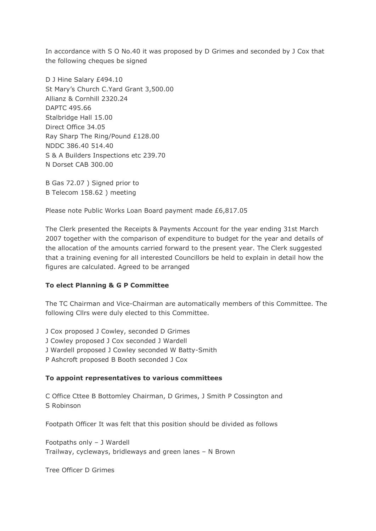In accordance with S O No.40 it was proposed by D Grimes and seconded by J Cox that the following cheques be signed

D J Hine Salary £494.10 St Mary's Church C.Yard Grant 3,500.00 Allianz & Cornhill 2320.24 DAPTC 495.66 Stalbridge Hall 15.00 Direct Office 34.05 Ray Sharp The Ring/Pound £128.00 NDDC 386.40 514.40 S & A Builders Inspections etc 239.70 N Dorset CAB 300.00

B Gas 72.07 ) Signed prior to B Telecom 158.62 ) meeting

Please note Public Works Loan Board payment made £6,817.05

The Clerk presented the Receipts & Payments Account for the year ending 31st March 2007 together with the comparison of expenditure to budget for the year and details of the allocation of the amounts carried forward to the present year. The Clerk suggested that a training evening for all interested Councillors be held to explain in detail how the figures are calculated. Agreed to be arranged

## **To elect Planning & G P Committee**

The TC Chairman and Vice-Chairman are automatically members of this Committee. The following Cllrs were duly elected to this Committee.

- J Cox proposed J Cowley, seconded D Grimes
- J Cowley proposed J Cox seconded J Wardell
- J Wardell proposed J Cowley seconded W Batty-Smith
- P Ashcroft proposed B Booth seconded J Cox

### **To appoint representatives to various committees**

C Office Cttee B Bottomley Chairman, D Grimes, J Smith P Cossington and S Robinson

Footpath Officer It was felt that this position should be divided as follows

Footpaths only – J Wardell Trailway, cycleways, bridleways and green lanes – N Brown

Tree Officer D Grimes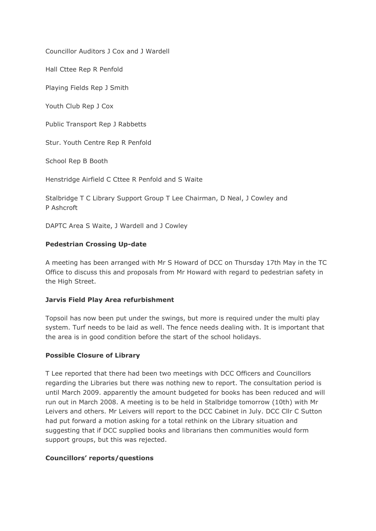Councillor Auditors J Cox and J Wardell

Hall Cttee Rep R Penfold

Playing Fields Rep J Smith

Youth Club Rep J Cox

Public Transport Rep J Rabbetts

Stur. Youth Centre Rep R Penfold

School Rep B Booth

Henstridge Airfield C Cttee R Penfold and S Waite

Stalbridge T C Library Support Group T Lee Chairman, D Neal, J Cowley and P Ashcroft

DAPTC Area S Waite, J Wardell and J Cowley

### **Pedestrian Crossing Up-date**

A meeting has been arranged with Mr S Howard of DCC on Thursday 17th May in the TC Office to discuss this and proposals from Mr Howard with regard to pedestrian safety in the High Street.

### **Jarvis Field Play Area refurbishment**

Topsoil has now been put under the swings, but more is required under the multi play system. Turf needs to be laid as well. The fence needs dealing with. It is important that the area is in good condition before the start of the school holidays.

### **Possible Closure of Library**

T Lee reported that there had been two meetings with DCC Officers and Councillors regarding the Libraries but there was nothing new to report. The consultation period is until March 2009. apparently the amount budgeted for books has been reduced and will run out in March 2008. A meeting is to be held in Stalbridge tomorrow (10th) with Mr Leivers and others. Mr Leivers will report to the DCC Cabinet in July. DCC Cllr C Sutton had put forward a motion asking for a total rethink on the Library situation and suggesting that if DCC supplied books and librarians then communities would form support groups, but this was rejected.

## **Councillors' reports/questions**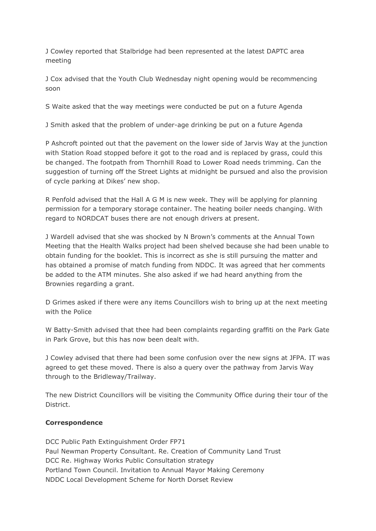J Cowley reported that Stalbridge had been represented at the latest DAPTC area meeting

J Cox advised that the Youth Club Wednesday night opening would be recommencing soon

S Waite asked that the way meetings were conducted be put on a future Agenda

J Smith asked that the problem of under-age drinking be put on a future Agenda

P Ashcroft pointed out that the pavement on the lower side of Jarvis Way at the junction with Station Road stopped before it got to the road and is replaced by grass, could this be changed. The footpath from Thornhill Road to Lower Road needs trimming. Can the suggestion of turning off the Street Lights at midnight be pursued and also the provision of cycle parking at Dikes' new shop.

R Penfold advised that the Hall A G M is new week. They will be applying for planning permission for a temporary storage container. The heating boiler needs changing. With regard to NORDCAT buses there are not enough drivers at present.

J Wardell advised that she was shocked by N Brown's comments at the Annual Town Meeting that the Health Walks project had been shelved because she had been unable to obtain funding for the booklet. This is incorrect as she is still pursuing the matter and has obtained a promise of match funding from NDDC. It was agreed that her comments be added to the ATM minutes. She also asked if we had heard anything from the Brownies regarding a grant.

D Grimes asked if there were any items Councillors wish to bring up at the next meeting with the Police

W Batty-Smith advised that thee had been complaints regarding graffiti on the Park Gate in Park Grove, but this has now been dealt with.

J Cowley advised that there had been some confusion over the new signs at JFPA. IT was agreed to get these moved. There is also a query over the pathway from Jarvis Way through to the Bridleway/Trailway.

The new District Councillors will be visiting the Community Office during their tour of the District.

### **Correspondence**

DCC Public Path Extinguishment Order FP71 Paul Newman Property Consultant. Re. Creation of Community Land Trust DCC Re. Highway Works Public Consultation strategy Portland Town Council. Invitation to Annual Mayor Making Ceremony NDDC Local Development Scheme for North Dorset Review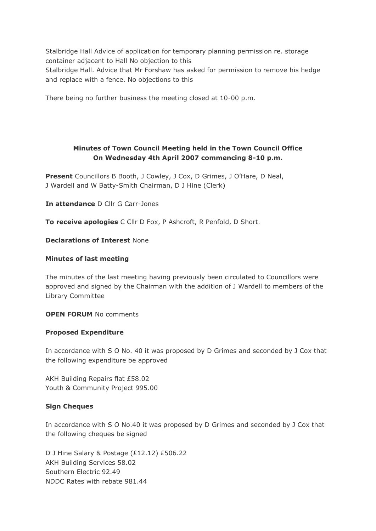Stalbridge Hall Advice of application for temporary planning permission re. storage container adjacent to Hall No objection to this Stalbridge Hall. Advice that Mr Forshaw has asked for permission to remove his hedge and replace with a fence. No objections to this

There being no further business the meeting closed at 10-00 p.m.

# **Minutes of Town Council Meeting held in the Town Council Office On Wednesday 4th April 2007 commencing 8-10 p.m.**

**Present** Councillors B Booth, J Cowley, J Cox, D Grimes, J O'Hare, D Neal, J Wardell and W Batty-Smith Chairman, D J Hine (Clerk)

**In attendance** D Cllr G Carr-Jones

**To receive apologies** C Cllr D Fox, P Ashcroft, R Penfold, D Short.

### **Declarations of Interest** None

### **Minutes of last meeting**

The minutes of the last meeting having previously been circulated to Councillors were approved and signed by the Chairman with the addition of J Wardell to members of the Library Committee

**OPEN FORUM** No comments

### **Proposed Expenditure**

In accordance with S O No. 40 it was proposed by D Grimes and seconded by J Cox that the following expenditure be approved

AKH Building Repairs flat £58.02 Youth & Community Project 995.00

### **Sign Cheques**

In accordance with S O No.40 it was proposed by D Grimes and seconded by J Cox that the following cheques be signed

D J Hine Salary & Postage (£12.12) £506.22 AKH Building Services 58.02 Southern Electric 92.49 NDDC Rates with rebate 981.44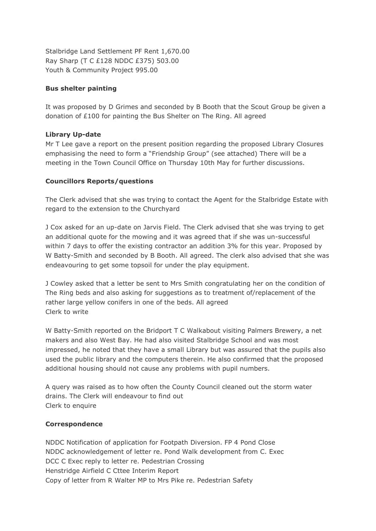Stalbridge Land Settlement PF Rent 1,670.00 Ray Sharp (T C £128 NDDC £375) 503.00 Youth & Community Project 995.00

## **Bus shelter painting**

It was proposed by D Grimes and seconded by B Booth that the Scout Group be given a donation of £100 for painting the Bus Shelter on The Ring. All agreed

# **Library Up-date**

Mr T Lee gave a report on the present position regarding the proposed Library Closures emphasising the need to form a "Friendship Group" (see attached) There will be a meeting in the Town Council Office on Thursday 10th May for further discussions.

# **Councillors Reports/questions**

The Clerk advised that she was trying to contact the Agent for the Stalbridge Estate with regard to the extension to the Churchyard

J Cox asked for an up-date on Jarvis Field. The Clerk advised that she was trying to get an additional quote for the mowing and it was agreed that if she was un-successful within 7 days to offer the existing contractor an addition 3% for this year. Proposed by W Batty-Smith and seconded by B Booth. All agreed. The clerk also advised that she was endeavouring to get some topsoil for under the play equipment.

J Cowley asked that a letter be sent to Mrs Smith congratulating her on the condition of The Ring beds and also asking for suggestions as to treatment of/replacement of the rather large yellow conifers in one of the beds. All agreed Clerk to write

W Batty-Smith reported on the Bridport T C Walkabout visiting Palmers Brewery, a net makers and also West Bay. He had also visited Stalbridge School and was most impressed, he noted that they have a small Library but was assured that the pupils also used the public library and the computers therein. He also confirmed that the proposed additional housing should not cause any problems with pupil numbers.

A query was raised as to how often the County Council cleaned out the storm water drains. The Clerk will endeavour to find out Clerk to enquire

## **Correspondence**

NDDC Notification of application for Footpath Diversion. FP 4 Pond Close NDDC acknowledgement of letter re. Pond Walk development from C. Exec DCC C Exec reply to letter re. Pedestrian Crossing Henstridge Airfield C Cttee Interim Report Copy of letter from R Walter MP to Mrs Pike re. Pedestrian Safety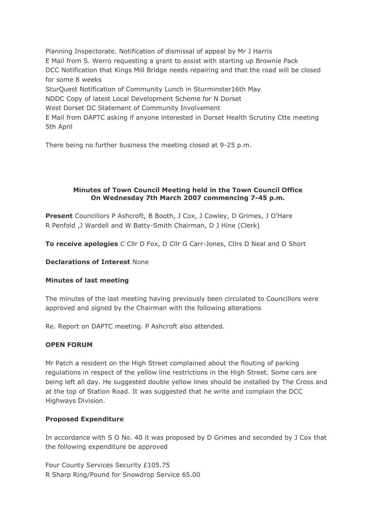Planning Inspectorate. Notification of dismissal of appeal by Mr J Harris E Mail from S. Werro requesting a grant to assist with starting up Brownie Pack DCC Notification that Kings Mill Bridge needs repairing and that the road will be closed for some 8 weeks SturQuest Notification of Community Lunch in Sturminster16th May NDDC Copy of latest Local Development Scheme for N Dorset West Dorset DC Statement of Community Involvement

E Mail from DAPTC asking if anyone interested in Dorset Health Scrutiny Ctte meeting 5th April

There being no further business the meeting closed at 9-25 p.m.

## **Minutes of Town Council Meeting held in the Town Council Office On Wednesday 7th March 2007 commencing 7-45 p.m.**

**Present** Councillors P Ashcroft, B Booth, J Cox, J Cowley, D Grimes, J O'Hare R Penfold ,J Wardell and W Batty-Smith Chairman, D J Hine (Clerk)

**To receive apologies** C Cllr D Fox, D Cllr G Carr-Jones, Cllrs D Neal and D Short

## **Declarations of Interest** None

## **Minutes of last meeting**

The minutes of the last meeting having previously been circulated to Councillors were approved and signed by the Chairman with the following alterations

Re. Report on DAPTC meeting. P Ashcroft also attended.

## **OPEN FORUM**

Mr Patch a resident on the High Street complained about the flouting of parking regulations in respect of the yellow line restrictions in the High Street. Some cars are being left all day. He suggested double yellow lines should be installed by The Cross and at the top of Station Road. It was suggested that he write and complain the DCC Highways Division.

## **Proposed Expenditure**

In accordance with S O No. 40 it was proposed by D Grimes and seconded by J Cox that the following expenditure be approved

Four County Services Security £105.75 R Sharp Ring/Pound for Snowdrop Service 65.00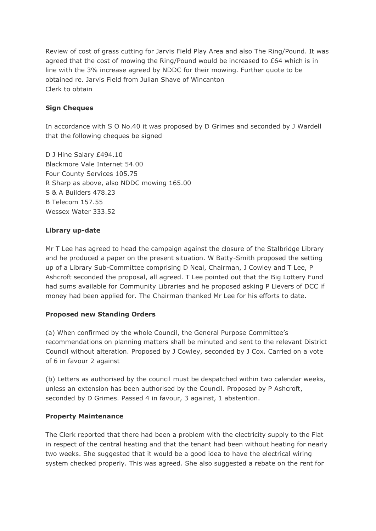Review of cost of grass cutting for Jarvis Field Play Area and also The Ring/Pound. It was agreed that the cost of mowing the Ring/Pound would be increased to £64 which is in line with the 3% increase agreed by NDDC for their mowing. Further quote to be obtained re. Jarvis Field from Julian Shave of Wincanton Clerk to obtain

# **Sign Cheques**

In accordance with S O No.40 it was proposed by D Grimes and seconded by J Wardell that the following cheques be signed

D J Hine Salary £494.10 Blackmore Vale Internet 54.00 Four County Services 105.75 R Sharp as above, also NDDC mowing 165.00 S & A Builders 478.23 B Telecom 157.55 Wessex Water 333.52

# **Library up-date**

Mr T Lee has agreed to head the campaign against the closure of the Stalbridge Library and he produced a paper on the present situation. W Batty-Smith proposed the setting up of a Library Sub-Committee comprising D Neal, Chairman, J Cowley and T Lee, P Ashcroft seconded the proposal, all agreed. T Lee pointed out that the Big Lottery Fund had sums available for Community Libraries and he proposed asking P Lievers of DCC if money had been applied for. The Chairman thanked Mr Lee for his efforts to date.

# **Proposed new Standing Orders**

(a) When confirmed by the whole Council, the General Purpose Committee's recommendations on planning matters shall be minuted and sent to the relevant District Council without alteration. Proposed by J Cowley, seconded by J Cox. Carried on a vote of 6 in favour 2 against

(b) Letters as authorised by the council must be despatched within two calendar weeks, unless an extension has been authorised by the Council. Proposed by P Ashcroft, seconded by D Grimes. Passed 4 in favour, 3 against, 1 abstention.

# **Property Maintenance**

The Clerk reported that there had been a problem with the electricity supply to the Flat in respect of the central heating and that the tenant had been without heating for nearly two weeks. She suggested that it would be a good idea to have the electrical wiring system checked properly. This was agreed. She also suggested a rebate on the rent for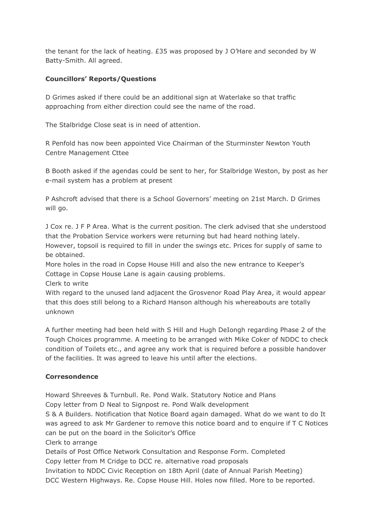the tenant for the lack of heating. £35 was proposed by J O'Hare and seconded by W Batty-Smith. All agreed.

## **Councillors' Reports/Questions**

D Grimes asked if there could be an additional sign at Waterlake so that traffic approaching from either direction could see the name of the road.

The Stalbridge Close seat is in need of attention.

R Penfold has now been appointed Vice Chairman of the Sturminster Newton Youth Centre Management Cttee

B Booth asked if the agendas could be sent to her, for Stalbridge Weston, by post as her e-mail system has a problem at present

P Ashcroft advised that there is a School Governors' meeting on 21st March. D Grimes will go.

J Cox re. J F P Area. What is the current position. The clerk advised that she understood that the Probation Service workers were returning but had heard nothing lately. However, topsoil is required to fill in under the swings etc. Prices for supply of same to be obtained.

More holes in the road in Copse House Hill and also the new entrance to Keeper's Cottage in Copse House Lane is again causing problems.

Clerk to write

With regard to the unused land adjacent the Grosvenor Road Play Area, it would appear that this does still belong to a Richard Hanson although his whereabouts are totally unknown

A further meeting had been held with S Hill and Hugh DeIongh regarding Phase 2 of the Tough Choices programme. A meeting to be arranged with Mike Coker of NDDC to check condition of Toilets etc., and agree any work that is required before a possible handover of the facilities. It was agreed to leave his until after the elections.

# **Corresondence**

Howard Shreeves & Turnbull. Re. Pond Walk. Statutory Notice and Plans

Copy letter from D Neal to Signpost re. Pond Walk development

S & A Builders. Notification that Notice Board again damaged. What do we want to do It was agreed to ask Mr Gardener to remove this notice board and to enquire if T C Notices can be put on the board in the Solicitor's Office

Clerk to arrange

Details of Post Office Network Consultation and Response Form. Completed Copy letter from M Cridge to DCC re. alternative road proposals

Invitation to NDDC Civic Reception on 18th April (date of Annual Parish Meeting) DCC Western Highways. Re. Copse House Hill. Holes now filled. More to be reported.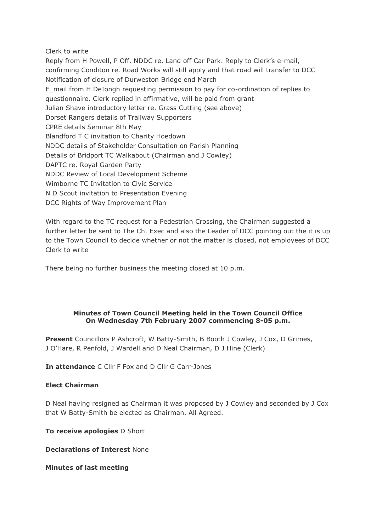### Clerk to write

Reply from H Powell, P Off. NDDC re. Land off Car Park. Reply to Clerk's e-mail, confirming Conditon re. Road Works will still apply and that road will transfer to DCC Notification of closure of Durweston Bridge end March E\_mail from H DeIongh requesting permission to pay for co-ordination of replies to questionnaire. Clerk replied in affirmative, will be paid from grant Julian Shave introductory letter re. Grass Cutting (see above) Dorset Rangers details of Trailway Supporters CPRE details Seminar 8th May Blandford T C invitation to Charity Hoedown NDDC details of Stakeholder Consultation on Parish Planning Details of Bridport TC Walkabout (Chairman and J Cowley) DAPTC re. Royal Garden Party NDDC Review of Local Development Scheme Wimborne TC Invitation to Civic Service N D Scout invitation to Presentation Evening DCC Rights of Way Improvement Plan

With regard to the TC request for a Pedestrian Crossing, the Chairman suggested a further letter be sent to The Ch. Exec and also the Leader of DCC pointing out the it is up to the Town Council to decide whether or not the matter is closed, not employees of DCC Clerk to write

There being no further business the meeting closed at 10 p.m.

### **Minutes of Town Council Meeting held in the Town Council Office On Wednesday 7th February 2007 commencing 8-05 p.m.**

**Present** Councillors P Ashcroft, W Batty-Smith, B Booth J Cowley, J Cox, D Grimes, J O'Hare, R Penfold, J Wardell and D Neal Chairman, D J Hine (Clerk)

**In attendance** C Cllr F Fox and D Cllr G Carr-Jones

### **Elect Chairman**

D Neal having resigned as Chairman it was proposed by J Cowley and seconded by J Cox that W Batty-Smith be elected as Chairman. All Agreed.

**To receive apologies** D Short

**Declarations of Interest** None

**Minutes of last meeting**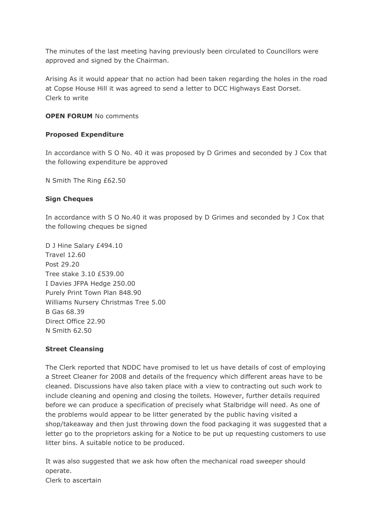The minutes of the last meeting having previously been circulated to Councillors were approved and signed by the Chairman.

Arising As it would appear that no action had been taken regarding the holes in the road at Copse House Hill it was agreed to send a letter to DCC Highways East Dorset. Clerk to write

## **OPEN FORUM** No comments

### **Proposed Expenditure**

In accordance with S O No. 40 it was proposed by D Grimes and seconded by J Cox that the following expenditure be approved

N Smith The Ring £62.50

### **Sign Cheques**

In accordance with S O No.40 it was proposed by D Grimes and seconded by J Cox that the following cheques be signed

D J Hine Salary £494.10 Travel 12.60 Post 29.20 Tree stake 3.10 £539.00 I Davies JFPA Hedge 250.00 Purely Print Town Plan 848.90 Williams Nursery Christmas Tree 5.00 B Gas 68.39 Direct Office 22.90 N Smith 62.50

### **Street Cleansing**

The Clerk reported that NDDC have promised to let us have details of cost of employing a Street Cleaner for 2008 and details of the frequency which different areas have to be cleaned. Discussions have also taken place with a view to contracting out such work to include cleaning and opening and closing the toilets. However, further details required before we can produce a specification of precisely what Stalbridge will need. As one of the problems would appear to be litter generated by the public having visited a shop/takeaway and then just throwing down the food packaging it was suggested that a letter go to the proprietors asking for a Notice to be put up requesting customers to use litter bins. A suitable notice to be produced.

It was also suggested that we ask how often the mechanical road sweeper should operate. Clerk to ascertain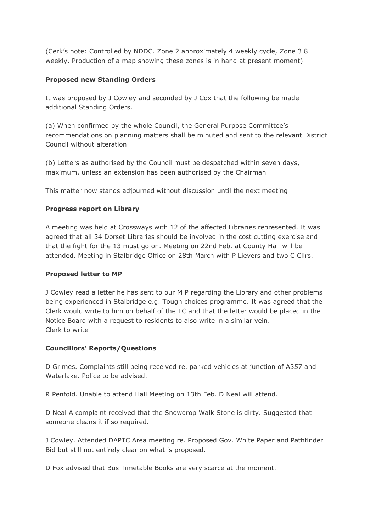(Cerk's note: Controlled by NDDC. Zone 2 approximately 4 weekly cycle, Zone 3 8 weekly. Production of a map showing these zones is in hand at present moment)

## **Proposed new Standing Orders**

It was proposed by J Cowley and seconded by J Cox that the following be made additional Standing Orders.

(a) When confirmed by the whole Council, the General Purpose Committee's recommendations on planning matters shall be minuted and sent to the relevant District Council without alteration

(b) Letters as authorised by the Council must be despatched within seven days, maximum, unless an extension has been authorised by the Chairman

This matter now stands adjourned without discussion until the next meeting

# **Progress report on Library**

A meeting was held at Crossways with 12 of the affected Libraries represented. It was agreed that all 34 Dorset Libraries should be involved in the cost cutting exercise and that the fight for the 13 must go on. Meeting on 22nd Feb. at County Hall will be attended. Meeting in Stalbridge Office on 28th March with P Lievers and two C Cllrs.

## **Proposed letter to MP**

J Cowley read a letter he has sent to our M P regarding the Library and other problems being experienced in Stalbridge e.g. Tough choices programme. It was agreed that the Clerk would write to him on behalf of the TC and that the letter would be placed in the Notice Board with a request to residents to also write in a similar vein. Clerk to write

## **Councillors' Reports/Questions**

D Grimes. Complaints still being received re. parked vehicles at junction of A357 and Waterlake. Police to be advised.

R Penfold. Unable to attend Hall Meeting on 13th Feb. D Neal will attend.

D Neal A complaint received that the Snowdrop Walk Stone is dirty. Suggested that someone cleans it if so required.

J Cowley. Attended DAPTC Area meeting re. Proposed Gov. White Paper and Pathfinder Bid but still not entirely clear on what is proposed.

D Fox advised that Bus Timetable Books are very scarce at the moment.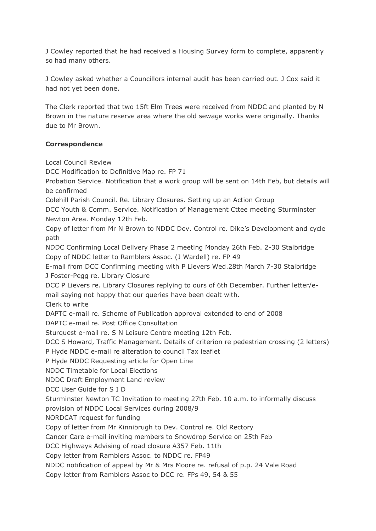J Cowley reported that he had received a Housing Survey form to complete, apparently so had many others.

J Cowley asked whether a Councillors internal audit has been carried out. J Cox said it had not yet been done.

The Clerk reported that two 15ft Elm Trees were received from NDDC and planted by N Brown in the nature reserve area where the old sewage works were originally. Thanks due to Mr Brown.

# **Correspondence**

Local Council Review

DCC Modification to Definitive Map re. FP 71

Probation Service. Notification that a work group will be sent on 14th Feb, but details will be confirmed

Colehill Parish Council. Re. Library Closures. Setting up an Action Group

DCC Youth & Comm. Service. Notification of Management Cttee meeting Sturminster Newton Area. Monday 12th Feb.

Copy of letter from Mr N Brown to NDDC Dev. Control re. Dike's Development and cycle path

NDDC Confirming Local Delivery Phase 2 meeting Monday 26th Feb. 2-30 Stalbridge Copy of NDDC letter to Ramblers Assoc. (J Wardell) re. FP 49

E-mail from DCC Confirming meeting with P Lievers Wed.28th March 7-30 Stalbridge J Foster-Pegg re. Library Closure

DCC P Lievers re. Library Closures replying to ours of 6th December. Further letter/email saying not happy that our queries have been dealt with.

Clerk to write

DAPTC e-mail re. Scheme of Publication approval extended to end of 2008

DAPTC e-mail re. Post Office Consultation

Sturquest e-mail re. S N Leisure Centre meeting 12th Feb.

DCC S Howard, Traffic Management. Details of criterion re pedestrian crossing (2 letters) P Hyde NDDC e-mail re alteration to council Tax leaflet

P Hyde NDDC Requesting article for Open Line

NDDC Timetable for Local Elections

NDDC Draft Employment Land review

DCC User Guide for S I D

Sturminster Newton TC Invitation to meeting 27th Feb. 10 a.m. to informally discuss

provision of NDDC Local Services during 2008/9

NORDCAT request for funding

Copy of letter from Mr Kinnibrugh to Dev. Control re. Old Rectory

Cancer Care e-mail inviting members to Snowdrop Service on 25th Feb

DCC Highways Advising of road closure A357 Feb. 11th

Copy letter from Ramblers Assoc. to NDDC re. FP49

NDDC notification of appeal by Mr & Mrs Moore re. refusal of p.p. 24 Vale Road

Copy letter from Ramblers Assoc to DCC re. FPs 49, 54 & 55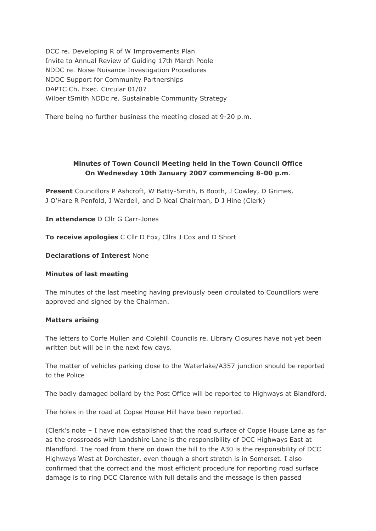DCC re. Developing R of W Improvements Plan Invite to Annual Review of Guiding 17th March Poole NDDC re. Noise Nuisance Investigation Procedures NDDC Support for Community Partnerships DAPTC Ch. Exec. Circular 01/07 Wilber tSmith NDDc re. Sustainable Community Strategy

There being no further business the meeting closed at 9-20 p.m.

# **Minutes of Town Council Meeting held in the Town Council Office On Wednesday 10th January 2007 commencing 8-00 p.m**.

**Present** Councillors P Ashcroft, W Batty-Smith, B Booth, J Cowley, D Grimes, J O'Hare R Penfold, J Wardell, and D Neal Chairman, D J Hine (Clerk)

**In attendance** D Cllr G Carr-Jones

**To receive apologies** C Cllr D Fox, Cllrs J Cox and D Short

### **Declarations of Interest** None

### **Minutes of last meeting**

The minutes of the last meeting having previously been circulated to Councillors were approved and signed by the Chairman.

### **Matters arising**

The letters to Corfe Mullen and Colehill Councils re. Library Closures have not yet been written but will be in the next few days.

The matter of vehicles parking close to the Waterlake/A357 junction should be reported to the Police

The badly damaged bollard by the Post Office will be reported to Highways at Blandford.

The holes in the road at Copse House Hill have been reported.

(Clerk's note – I have now established that the road surface of Copse House Lane as far as the crossroads with Landshire Lane is the responsibility of DCC Highways East at Blandford. The road from there on down the hill to the A30 is the responsibility of DCC Highways West at Dorchester, even though a short stretch is in Somerset. I also confirmed that the correct and the most efficient procedure for reporting road surface damage is to ring DCC Clarence with full details and the message is then passed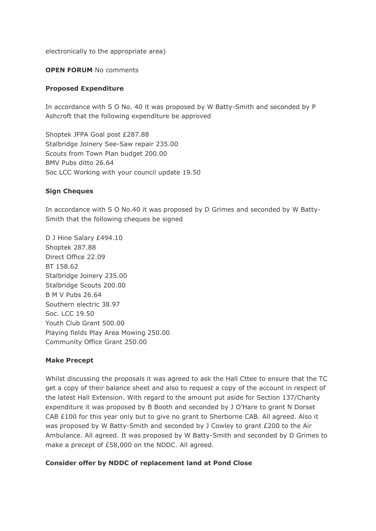electronically to the appropriate area)

### **OPEN FORUM** No comments

### **Proposed Expenditure**

In accordance with S O No. 40 it was proposed by W Batty-Smith and seconded by P Ashcroft that the following expenditure be approved

Shoptek JFPA Goal post £287.88 Stalbridge Joinery See-Saw repair 235.00 Scouts from Town Plan budget 200.00 BMV Pubs ditto 26.64 Soc LCC Working with your council update 19.50

### **Sign Cheques**

In accordance with S O No.40 it was proposed by D Grimes and seconded by W Batty-Smith that the following cheques be signed

D J Hine Salary £494.10 Shoptek 287.88 Direct Office 22.09 BT 158.62 Stalbridge Joinery 235.00 Stalbridge Scouts 200.00 B M V Pubs 26.64 Southern electric 38.97 Soc. LCC 19.50 Youth Club Grant 500.00 Playing fields Play Area Mowing 250.00 Community Office Grant 250.00

### **Make Precept**

Whilst discussing the proposals it was agreed to ask the Hall Cttee to ensure that the TC get a copy of their balance sheet and also to request a copy of the account in respect of the latest Hall Extension. With regard to the amount put aside for Section 137/Charity expenditure it was proposed by B Booth and seconded by J O'Hare to grant N Dorset CAB £100 for this year only but to give no grant to Sherborne CAB. All agreed. Also it was proposed by W Batty-Smith and seconded by J Cowley to grant £200 to the Air Ambulance. All agreed. It was proposed by W Batty-Smith and seconded by D Grimes to make a precept of £58,000 on the NDDC. All agreed.

### **Consider offer by NDDC of replacement land at Pond Close**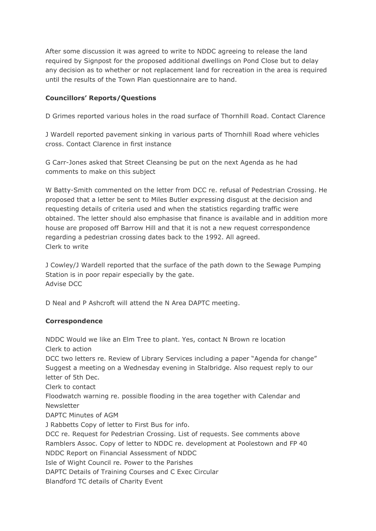After some discussion it was agreed to write to NDDC agreeing to release the land required by Signpost for the proposed additional dwellings on Pond Close but to delay any decision as to whether or not replacement land for recreation in the area is required until the results of the Town Plan questionnaire are to hand.

# **Councillors' Reports/Questions**

D Grimes reported various holes in the road surface of Thornhill Road. Contact Clarence

J Wardell reported pavement sinking in various parts of Thornhill Road where vehicles cross. Contact Clarence in first instance

G Carr-Jones asked that Street Cleansing be put on the next Agenda as he had comments to make on this subject

W Batty-Smith commented on the letter from DCC re. refusal of Pedestrian Crossing. He proposed that a letter be sent to Miles Butler expressing disgust at the decision and requesting details of criteria used and when the statistics regarding traffic were obtained. The letter should also emphasise that finance is available and in addition more house are proposed off Barrow Hill and that it is not a new request correspondence regarding a pedestrian crossing dates back to the 1992. All agreed. Clerk to write

J Cowley/J Wardell reported that the surface of the path down to the Sewage Pumping Station is in poor repair especially by the gate. Advise DCC

D Neal and P Ashcroft will attend the N Area DAPTC meeting.

## **Correspondence**

NDDC Would we like an Elm Tree to plant. Yes, contact N Brown re location Clerk to action DCC two letters re. Review of Library Services including a paper "Agenda for change" Suggest a meeting on a Wednesday evening in Stalbridge. Also request reply to our letter of 5th Dec. Clerk to contact Floodwatch warning re. possible flooding in the area together with Calendar and Newsletter DAPTC Minutes of AGM J Rabbetts Copy of letter to First Bus for info. DCC re. Request for Pedestrian Crossing. List of requests. See comments above Ramblers Assoc. Copy of letter to NDDC re. development at Poolestown and FP 40 NDDC Report on Financial Assessment of NDDC Isle of Wight Council re. Power to the Parishes DAPTC Details of Training Courses and C Exec Circular Blandford TC details of Charity Event